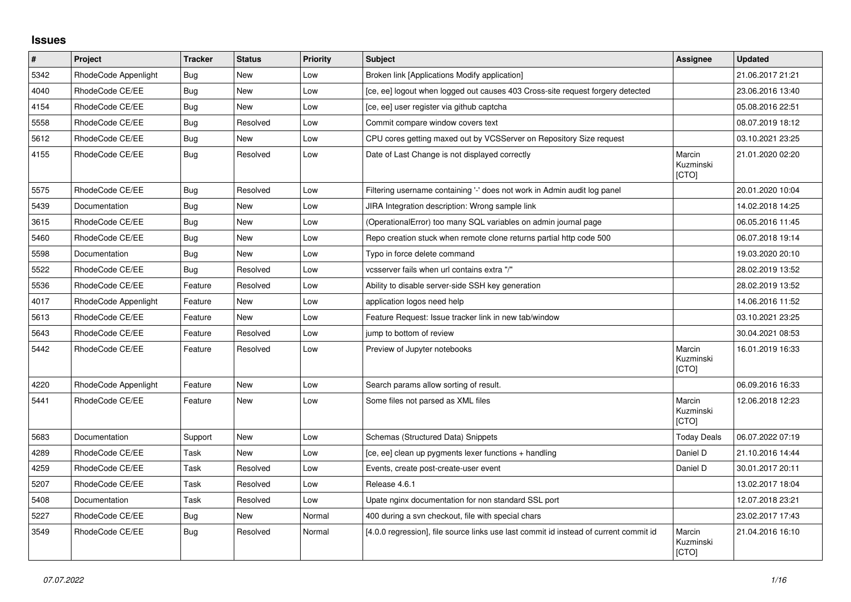## **Issues**

| $\vert$ # | Project              | <b>Tracker</b> | <b>Status</b> | Priority | <b>Subject</b>                                                                        | Assignee                     | <b>Updated</b>   |
|-----------|----------------------|----------------|---------------|----------|---------------------------------------------------------------------------------------|------------------------------|------------------|
| 5342      | RhodeCode Appenlight | Bug            | New           | Low      | Broken link [Applications Modify application]                                         |                              | 21.06.2017 21:21 |
| 4040      | RhodeCode CE/EE      | <b>Bug</b>     | <b>New</b>    | Low      | [ce, ee] logout when logged out causes 403 Cross-site request forgery detected        |                              | 23.06.2016 13:40 |
| 4154      | RhodeCode CE/EE      | <b>Bug</b>     | New           | Low      | [ce, ee] user register via github captcha                                             |                              | 05.08.2016 22:51 |
| 5558      | RhodeCode CE/EE      | Bug            | Resolved      | Low      | Commit compare window covers text                                                     |                              | 08.07.2019 18:12 |
| 5612      | RhodeCode CE/EE      | Bug            | <b>New</b>    | Low      | CPU cores getting maxed out by VCSServer on Repository Size request                   |                              | 03.10.2021 23:25 |
| 4155      | RhodeCode CE/EE      | Bug            | Resolved      | Low      | Date of Last Change is not displayed correctly                                        | Marcin<br>Kuzminski<br>[CTO] | 21.01.2020 02:20 |
| 5575      | RhodeCode CE/EE      | <b>Bug</b>     | Resolved      | Low      | Filtering username containing '-' does not work in Admin audit log panel              |                              | 20.01.2020 10:04 |
| 5439      | Documentation        | Bug            | <b>New</b>    | Low      | JIRA Integration description: Wrong sample link                                       |                              | 14.02.2018 14:25 |
| 3615      | RhodeCode CE/EE      | Bug            | New           | Low      | (OperationalError) too many SQL variables on admin journal page                       |                              | 06.05.2016 11:45 |
| 5460      | RhodeCode CE/EE      | Bug            | <b>New</b>    | Low      | Repo creation stuck when remote clone returns partial http code 500                   |                              | 06.07.2018 19:14 |
| 5598      | Documentation        | Bug            | <b>New</b>    | Low      | Typo in force delete command                                                          |                              | 19.03.2020 20:10 |
| 5522      | RhodeCode CE/EE      | Bug            | Resolved      | Low      | vcsserver fails when url contains extra "/"                                           |                              | 28.02.2019 13:52 |
| 5536      | RhodeCode CE/EE      | Feature        | Resolved      | Low      | Ability to disable server-side SSH key generation                                     |                              | 28.02.2019 13:52 |
| 4017      | RhodeCode Appenlight | Feature        | <b>New</b>    | Low      | application logos need help                                                           |                              | 14.06.2016 11:52 |
| 5613      | RhodeCode CE/EE      | Feature        | New           | Low      | Feature Request: Issue tracker link in new tab/window                                 |                              | 03.10.2021 23:25 |
| 5643      | RhodeCode CE/EE      | Feature        | Resolved      | Low      | jump to bottom of review                                                              |                              | 30.04.2021 08:53 |
| 5442      | RhodeCode CE/EE      | Feature        | Resolved      | Low      | Preview of Jupyter notebooks                                                          | Marcin<br>Kuzminski<br>[CTO] | 16.01.2019 16:33 |
| 4220      | RhodeCode Appenlight | Feature        | New           | Low      | Search params allow sorting of result.                                                |                              | 06.09.2016 16:33 |
| 5441      | RhodeCode CE/EE      | Feature        | <b>New</b>    | Low      | Some files not parsed as XML files                                                    | Marcin<br>Kuzminski<br>[CTO] | 12.06.2018 12:23 |
| 5683      | Documentation        | Support        | <b>New</b>    | Low      | Schemas (Structured Data) Snippets                                                    | <b>Today Deals</b>           | 06.07.2022 07:19 |
| 4289      | RhodeCode CE/EE      | Task           | New           | Low      | [ce, ee] clean up pygments lexer functions + handling                                 | Daniel D                     | 21.10.2016 14:44 |
| 4259      | RhodeCode CE/EE      | Task           | Resolved      | Low      | Events, create post-create-user event                                                 | Daniel D                     | 30.01.2017 20:11 |
| 5207      | RhodeCode CE/EE      | Task           | Resolved      | Low      | Release 4.6.1                                                                         |                              | 13.02.2017 18:04 |
| 5408      | Documentation        | Task           | Resolved      | Low      | Upate nginx documentation for non standard SSL port                                   |                              | 12.07.2018 23:21 |
| 5227      | RhodeCode CE/EE      | Bug            | <b>New</b>    | Normal   | 400 during a svn checkout, file with special chars                                    |                              | 23.02.2017 17:43 |
| 3549      | RhodeCode CE/EE      | Bug            | Resolved      | Normal   | [4.0.0 regression], file source links use last commit id instead of current commit id | Marcin<br>Kuzminski<br>[CTO] | 21.04.2016 16:10 |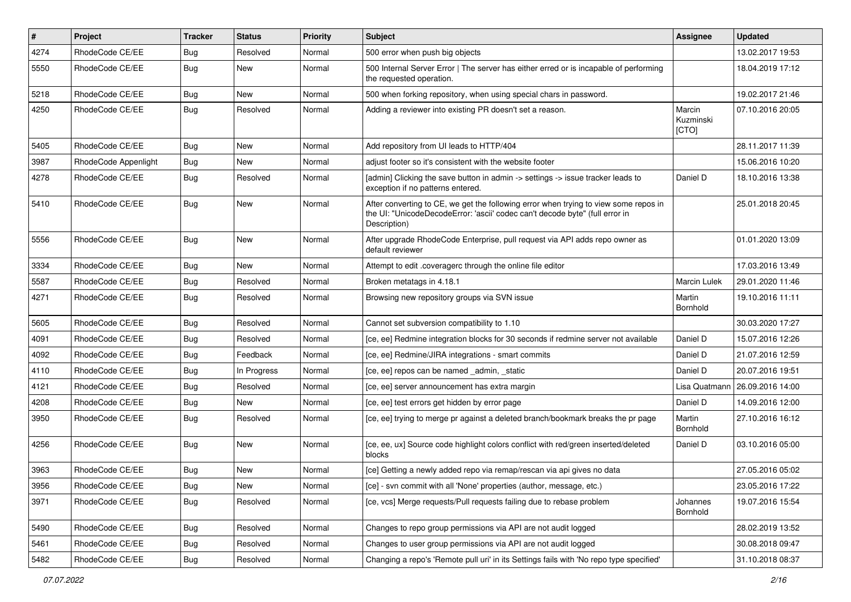| #    | Project              | <b>Tracker</b> | <b>Status</b> | <b>Priority</b> | <b>Subject</b>                                                                                                                                                                       | <b>Assignee</b>              | <b>Updated</b>   |
|------|----------------------|----------------|---------------|-----------------|--------------------------------------------------------------------------------------------------------------------------------------------------------------------------------------|------------------------------|------------------|
| 4274 | RhodeCode CE/EE      | Bug            | Resolved      | Normal          | 500 error when push big objects                                                                                                                                                      |                              | 13.02.2017 19:53 |
| 5550 | RhodeCode CE/EE      | <b>Bug</b>     | <b>New</b>    | Normal          | 500 Internal Server Error   The server has either erred or is incapable of performing<br>the requested operation.                                                                    |                              | 18.04.2019 17:12 |
| 5218 | RhodeCode CE/EE      | Bug            | <b>New</b>    | Normal          | 500 when forking repository, when using special chars in password.                                                                                                                   |                              | 19.02.2017 21:46 |
| 4250 | RhodeCode CE/EE      | <b>Bug</b>     | Resolved      | Normal          | Adding a reviewer into existing PR doesn't set a reason.                                                                                                                             | Marcin<br>Kuzminski<br>[CTO] | 07.10.2016 20:05 |
| 5405 | RhodeCode CE/EE      | Bug            | <b>New</b>    | Normal          | Add repository from UI leads to HTTP/404                                                                                                                                             |                              | 28.11.2017 11:39 |
| 3987 | RhodeCode Appenlight | Bug            | New           | Normal          | adjust footer so it's consistent with the website footer                                                                                                                             |                              | 15.06.2016 10:20 |
| 4278 | RhodeCode CE/EE      | Bug            | Resolved      | Normal          | [admin] Clicking the save button in admin -> settings -> issue tracker leads to<br>exception if no patterns entered.                                                                 | Daniel D                     | 18.10.2016 13:38 |
| 5410 | RhodeCode CE/EE      | <b>Bug</b>     | <b>New</b>    | Normal          | After converting to CE, we get the following error when trying to view some repos in<br>the UI: "UnicodeDecodeError: 'ascii' codec can't decode byte" (full error in<br>Description) |                              | 25.01.2018 20:45 |
| 5556 | RhodeCode CE/EE      | Bug            | <b>New</b>    | Normal          | After upgrade RhodeCode Enterprise, pull request via API adds repo owner as<br>default reviewer                                                                                      |                              | 01.01.2020 13:09 |
| 3334 | RhodeCode CE/EE      | Bug            | <b>New</b>    | Normal          | Attempt to edit .coveragerc through the online file editor                                                                                                                           |                              | 17.03.2016 13:49 |
| 5587 | RhodeCode CE/EE      | Bug            | Resolved      | Normal          | Broken metatags in 4.18.1                                                                                                                                                            | <b>Marcin Lulek</b>          | 29.01.2020 11:46 |
| 4271 | RhodeCode CE/EE      | Bug            | Resolved      | Normal          | Browsing new repository groups via SVN issue                                                                                                                                         | Martin<br>Bornhold           | 19.10.2016 11:11 |
| 5605 | RhodeCode CE/EE      | <b>Bug</b>     | Resolved      | Normal          | Cannot set subversion compatibility to 1.10                                                                                                                                          |                              | 30.03.2020 17:27 |
| 4091 | RhodeCode CE/EE      | Bug            | Resolved      | Normal          | [ce, ee] Redmine integration blocks for 30 seconds if redmine server not available                                                                                                   | Daniel D                     | 15.07.2016 12:26 |
| 4092 | RhodeCode CE/EE      | Bug            | Feedback      | Normal          | [ce, ee] Redmine/JIRA integrations - smart commits                                                                                                                                   | Daniel D                     | 21.07.2016 12:59 |
| 4110 | RhodeCode CE/EE      | Bug            | In Progress   | Normal          | [ce, ee] repos can be named _admin, _static                                                                                                                                          | Daniel D                     | 20.07.2016 19:51 |
| 4121 | RhodeCode CE/EE      | Bug            | Resolved      | Normal          | [ce, ee] server announcement has extra margin                                                                                                                                        | Lisa Quatmann                | 26.09.2016 14:00 |
| 4208 | RhodeCode CE/EE      | Bug            | New           | Normal          | [ce, ee] test errors get hidden by error page                                                                                                                                        | Daniel D                     | 14.09.2016 12:00 |
| 3950 | RhodeCode CE/EE      | Bug            | Resolved      | Normal          | [ce, ee] trying to merge pr against a deleted branch/bookmark breaks the pr page                                                                                                     | Martin<br>Bornhold           | 27.10.2016 16:12 |
| 4256 | RhodeCode CE/EE      | <b>Bug</b>     | <b>New</b>    | Normal          | [ce, ee, ux] Source code highlight colors conflict with red/green inserted/deleted<br>blocks                                                                                         | Daniel D                     | 03.10.2016 05:00 |
| 3963 | RhodeCode CE/EE      | <b>Bug</b>     | <b>New</b>    | Normal          | [ce] Getting a newly added repo via remap/rescan via api gives no data                                                                                                               |                              | 27.05.2016 05:02 |
| 3956 | RhodeCode CE/EE      | Bug            | New           | Normal          | [ce] - svn commit with all 'None' properties (author, message, etc.)                                                                                                                 |                              | 23.05.2016 17:22 |
| 3971 | RhodeCode CE/EE      | Bug            | Resolved      | Normal          | [ce, vcs] Merge requests/Pull requests failing due to rebase problem                                                                                                                 | Johannes<br>Bornhold         | 19.07.2016 15:54 |
| 5490 | RhodeCode CE/EE      | Bug            | Resolved      | Normal          | Changes to repo group permissions via API are not audit logged                                                                                                                       |                              | 28.02.2019 13:52 |
| 5461 | RhodeCode CE/EE      | <b>Bug</b>     | Resolved      | Normal          | Changes to user group permissions via API are not audit logged                                                                                                                       |                              | 30.08.2018 09:47 |
| 5482 | RhodeCode CE/EE      | <b>Bug</b>     | Resolved      | Normal          | Changing a repo's 'Remote pull uri' in its Settings fails with 'No repo type specified'                                                                                              |                              | 31.10.2018 08:37 |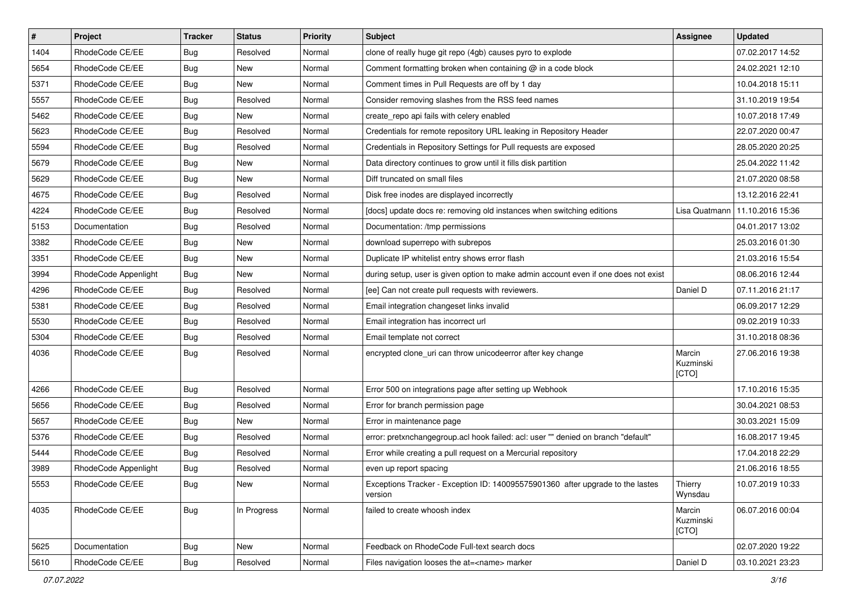| $\vert$ # | Project              | <b>Tracker</b> | <b>Status</b> | Priority | <b>Subject</b>                                                                            | <b>Assignee</b>              | <b>Updated</b>   |
|-----------|----------------------|----------------|---------------|----------|-------------------------------------------------------------------------------------------|------------------------------|------------------|
| 1404      | RhodeCode CE/EE      | Bug            | Resolved      | Normal   | clone of really huge git repo (4gb) causes pyro to explode                                |                              | 07.02.2017 14:52 |
| 5654      | RhodeCode CE/EE      | Bug            | <b>New</b>    | Normal   | Comment formatting broken when containing @ in a code block                               |                              | 24.02.2021 12:10 |
| 5371      | RhodeCode CE/EE      | Bug            | New           | Normal   | Comment times in Pull Requests are off by 1 day                                           |                              | 10.04.2018 15:11 |
| 5557      | RhodeCode CE/EE      | Bug            | Resolved      | Normal   | Consider removing slashes from the RSS feed names                                         |                              | 31.10.2019 19:54 |
| 5462      | RhodeCode CE/EE      | <b>Bug</b>     | <b>New</b>    | Normal   | create_repo api fails with celery enabled                                                 |                              | 10.07.2018 17:49 |
| 5623      | RhodeCode CE/EE      | Bug            | Resolved      | Normal   | Credentials for remote repository URL leaking in Repository Header                        |                              | 22.07.2020 00:47 |
| 5594      | RhodeCode CE/EE      | Bug            | Resolved      | Normal   | Credentials in Repository Settings for Pull requests are exposed                          |                              | 28.05.2020 20:25 |
| 5679      | RhodeCode CE/EE      | Bug            | <b>New</b>    | Normal   | Data directory continues to grow until it fills disk partition                            |                              | 25.04.2022 11:42 |
| 5629      | RhodeCode CE/EE      | Bug            | New           | Normal   | Diff truncated on small files                                                             |                              | 21.07.2020 08:58 |
| 4675      | RhodeCode CE/EE      | Bug            | Resolved      | Normal   | Disk free inodes are displayed incorrectly                                                |                              | 13.12.2016 22:41 |
| 4224      | RhodeCode CE/EE      | Bug            | Resolved      | Normal   | [docs] update docs re: removing old instances when switching editions                     | Lisa Quatmann                | 11.10.2016 15:36 |
| 5153      | Documentation        | Bug            | Resolved      | Normal   | Documentation: /tmp permissions                                                           |                              | 04.01.2017 13:02 |
| 3382      | RhodeCode CE/EE      | Bug            | <b>New</b>    | Normal   | download superrepo with subrepos                                                          |                              | 25.03.2016 01:30 |
| 3351      | RhodeCode CE/EE      | Bug            | New           | Normal   | Duplicate IP whitelist entry shows error flash                                            |                              | 21.03.2016 15:54 |
| 3994      | RhodeCode Appenlight | Bug            | New           | Normal   | during setup, user is given option to make admin account even if one does not exist       |                              | 08.06.2016 12:44 |
| 4296      | RhodeCode CE/EE      | Bug            | Resolved      | Normal   | [ee] Can not create pull requests with reviewers.                                         | Daniel D                     | 07.11.2016 21:17 |
| 5381      | RhodeCode CE/EE      | Bug            | Resolved      | Normal   | Email integration changeset links invalid                                                 |                              | 06.09.2017 12:29 |
| 5530      | RhodeCode CE/EE      | <b>Bug</b>     | Resolved      | Normal   | Email integration has incorrect url                                                       |                              | 09.02.2019 10:33 |
| 5304      | RhodeCode CE/EE      | Bug            | Resolved      | Normal   | Email template not correct                                                                |                              | 31.10.2018 08:36 |
| 4036      | RhodeCode CE/EE      | Bug            | Resolved      | Normal   | encrypted clone_uri can throw unicodeerror after key change                               | Marcin<br>Kuzminski<br>[CTO] | 27.06.2016 19:38 |
| 4266      | RhodeCode CE/EE      | Bug            | Resolved      | Normal   | Error 500 on integrations page after setting up Webhook                                   |                              | 17.10.2016 15:35 |
| 5656      | RhodeCode CE/EE      | Bug            | Resolved      | Normal   | Error for branch permission page                                                          |                              | 30.04.2021 08:53 |
| 5657      | RhodeCode CE/EE      | Bug            | <b>New</b>    | Normal   | Error in maintenance page                                                                 |                              | 30.03.2021 15:09 |
| 5376      | RhodeCode CE/EE      | Bug            | Resolved      | Normal   | error: pretxnchangegroup.acl hook failed: acl: user "" denied on branch "default"         |                              | 16.08.2017 19:45 |
| 5444      | RhodeCode CE/EE      | Bug            | Resolved      | Normal   | Error while creating a pull request on a Mercurial repository                             |                              | 17.04.2018 22:29 |
| 3989      | RhodeCode Appenlight | Bug            | Resolved      | Normal   | even up report spacing                                                                    |                              | 21.06.2016 18:55 |
| 5553      | RhodeCode CE/EE      | Bug            | New           | Normal   | Exceptions Tracker - Exception ID: 140095575901360 after upgrade to the lastes<br>version | Thierry<br>Wynsdau           | 10.07.2019 10:33 |
| 4035      | RhodeCode CE/EE      | Bug            | In Progress   | Normal   | failed to create whoosh index                                                             | Marcin<br>Kuzminski<br>[CTO] | 06.07.2016 00:04 |
| 5625      | Documentation        | Bug            | New           | Normal   | Feedback on RhodeCode Full-text search docs                                               |                              | 02.07.2020 19:22 |
| 5610      | RhodeCode CE/EE      | <b>Bug</b>     | Resolved      | Normal   | Files navigation looses the at= <name> marker</name>                                      | Daniel D                     | 03.10.2021 23:23 |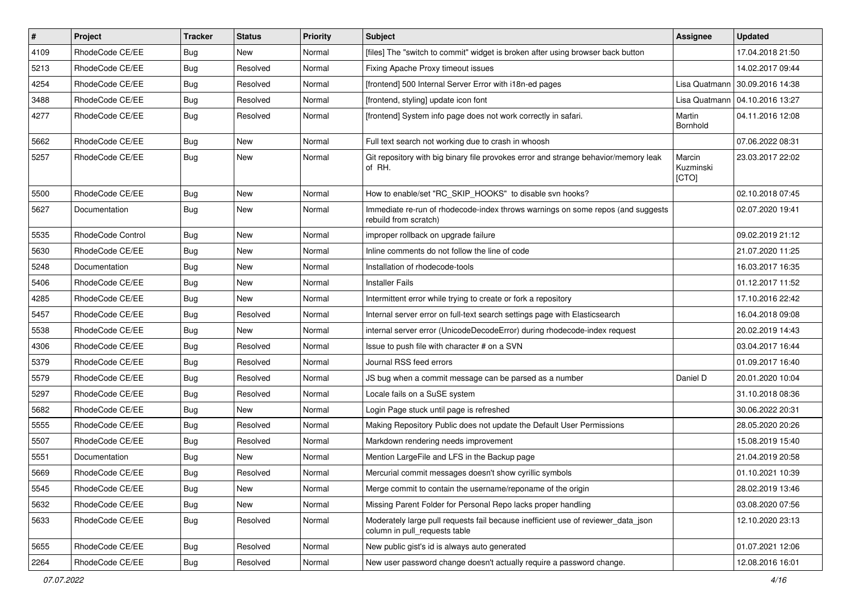| $\vert$ # | Project           | <b>Tracker</b> | <b>Status</b> | Priority | Subject                                                                                                            | <b>Assignee</b>              | <b>Updated</b>                   |
|-----------|-------------------|----------------|---------------|----------|--------------------------------------------------------------------------------------------------------------------|------------------------------|----------------------------------|
| 4109      | RhodeCode CE/EE   | Bug            | New           | Normal   | [files] The "switch to commit" widget is broken after using browser back button                                    |                              | 17.04.2018 21:50                 |
| 5213      | RhodeCode CE/EE   | Bug            | Resolved      | Normal   | Fixing Apache Proxy timeout issues                                                                                 |                              | 14.02.2017 09:44                 |
| 4254      | RhodeCode CE/EE   | Bug            | Resolved      | Normal   | [frontend] 500 Internal Server Error with i18n-ed pages                                                            | Lisa Quatmann                | 30.09.2016 14:38                 |
| 3488      | RhodeCode CE/EE   | Bug            | Resolved      | Normal   | [frontend, styling] update icon font                                                                               |                              | Lisa Quatmann   04.10.2016 13:27 |
| 4277      | RhodeCode CE/EE   | Bug            | Resolved      | Normal   | [frontend] System info page does not work correctly in safari.                                                     | Martin<br>Bornhold           | 04.11.2016 12:08                 |
| 5662      | RhodeCode CE/EE   | Bug            | <b>New</b>    | Normal   | Full text search not working due to crash in whoosh                                                                |                              | 07.06.2022 08:31                 |
| 5257      | RhodeCode CE/EE   | Bug            | <b>New</b>    | Normal   | Git repository with big binary file provokes error and strange behavior/memory leak<br>of RH.                      | Marcin<br>Kuzminski<br>[CTO] | 23.03.2017 22:02                 |
| 5500      | RhodeCode CE/EE   | Bug            | New           | Normal   | How to enable/set "RC_SKIP_HOOKS" to disable svn hooks?                                                            |                              | 02.10.2018 07:45                 |
| 5627      | Documentation     | Bug            | New           | Normal   | Immediate re-run of rhodecode-index throws warnings on some repos (and suggests<br>rebuild from scratch)           |                              | 02.07.2020 19:41                 |
| 5535      | RhodeCode Control | Bug            | New           | Normal   | improper rollback on upgrade failure                                                                               |                              | 09.02.2019 21:12                 |
| 5630      | RhodeCode CE/EE   | <b>Bug</b>     | <b>New</b>    | Normal   | Inline comments do not follow the line of code                                                                     |                              | 21.07.2020 11:25                 |
| 5248      | Documentation     | Bug            | <b>New</b>    | Normal   | Installation of rhodecode-tools                                                                                    |                              | 16.03.2017 16:35                 |
| 5406      | RhodeCode CE/EE   | <b>Bug</b>     | New           | Normal   | <b>Installer Fails</b>                                                                                             |                              | 01.12.2017 11:52                 |
| 4285      | RhodeCode CE/EE   | Bug            | <b>New</b>    | Normal   | Intermittent error while trying to create or fork a repository                                                     |                              | 17.10.2016 22:42                 |
| 5457      | RhodeCode CE/EE   | Bug            | Resolved      | Normal   | Internal server error on full-text search settings page with Elasticsearch                                         |                              | 16.04.2018 09:08                 |
| 5538      | RhodeCode CE/EE   | <b>Bug</b>     | New           | Normal   | internal server error (UnicodeDecodeError) during rhodecode-index request                                          |                              | 20.02.2019 14:43                 |
| 4306      | RhodeCode CE/EE   | <b>Bug</b>     | Resolved      | Normal   | Issue to push file with character # on a SVN                                                                       |                              | 03.04.2017 16:44                 |
| 5379      | RhodeCode CE/EE   | Bug            | Resolved      | Normal   | Journal RSS feed errors                                                                                            |                              | 01.09.2017 16:40                 |
| 5579      | RhodeCode CE/EE   | Bug            | Resolved      | Normal   | JS bug when a commit message can be parsed as a number                                                             | Daniel D                     | 20.01.2020 10:04                 |
| 5297      | RhodeCode CE/EE   | Bug            | Resolved      | Normal   | Locale fails on a SuSE system                                                                                      |                              | 31.10.2018 08:36                 |
| 5682      | RhodeCode CE/EE   | <b>Bug</b>     | New           | Normal   | Login Page stuck until page is refreshed                                                                           |                              | 30.06.2022 20:31                 |
| 5555      | RhodeCode CE/EE   | Bug            | Resolved      | Normal   | Making Repository Public does not update the Default User Permissions                                              |                              | 28.05.2020 20:26                 |
| 5507      | RhodeCode CE/EE   | Bug            | Resolved      | Normal   | Markdown rendering needs improvement                                                                               |                              | 15.08.2019 15:40                 |
| 5551      | Documentation     | Bug            | New           | Normal   | Mention LargeFile and LFS in the Backup page                                                                       |                              | 21.04.2019 20:58                 |
| 5669      | RhodeCode CE/EE   | Bug            | Resolved      | Normal   | Mercurial commit messages doesn't show cyrillic symbols                                                            |                              | 01.10.2021 10:39                 |
| 5545      | RhodeCode CE/EE   | <b>Bug</b>     | New           | Normal   | Merge commit to contain the username/reponame of the origin                                                        |                              | 28.02.2019 13:46                 |
| 5632      | RhodeCode CE/EE   | <b>Bug</b>     | New           | Normal   | Missing Parent Folder for Personal Repo lacks proper handling                                                      |                              | 03.08.2020 07:56                 |
| 5633      | RhodeCode CE/EE   | Bug            | Resolved      | Normal   | Moderately large pull requests fail because inefficient use of reviewer_data_json<br>column in pull_requests table |                              | 12.10.2020 23:13                 |
| 5655      | RhodeCode CE/EE   | Bug            | Resolved      | Normal   | New public gist's id is always auto generated                                                                      |                              | 01.07.2021 12:06                 |
| 2264      | RhodeCode CE/EE   | Bug            | Resolved      | Normal   | New user password change doesn't actually require a password change.                                               |                              | 12.08.2016 16:01                 |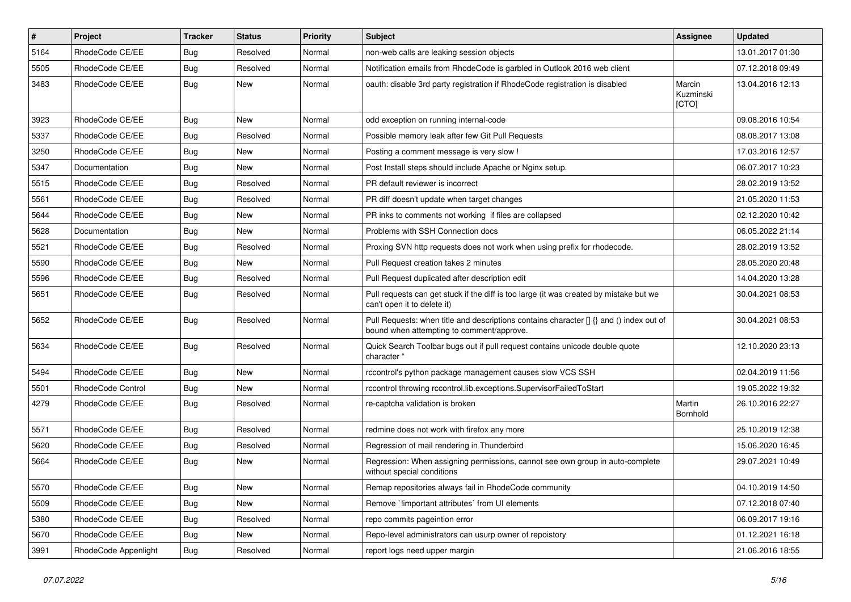| $\vert$ # | Project              | <b>Tracker</b> | <b>Status</b> | <b>Priority</b> | <b>Subject</b>                                                                                                                       | <b>Assignee</b>              | <b>Updated</b>   |
|-----------|----------------------|----------------|---------------|-----------------|--------------------------------------------------------------------------------------------------------------------------------------|------------------------------|------------------|
| 5164      | RhodeCode CE/EE      | Bug            | Resolved      | Normal          | non-web calls are leaking session objects                                                                                            |                              | 13.01.2017 01:30 |
| 5505      | RhodeCode CE/EE      | Bug            | Resolved      | Normal          | Notification emails from RhodeCode is garbled in Outlook 2016 web client                                                             |                              | 07.12.2018 09:49 |
| 3483      | RhodeCode CE/EE      | Bug            | New           | Normal          | oauth: disable 3rd party registration if RhodeCode registration is disabled                                                          | Marcin<br>Kuzminski<br>[CTO] | 13.04.2016 12:13 |
| 3923      | RhodeCode CE/EE      | Bug            | <b>New</b>    | Normal          | odd exception on running internal-code                                                                                               |                              | 09.08.2016 10:54 |
| 5337      | RhodeCode CE/EE      | Bug            | Resolved      | Normal          | Possible memory leak after few Git Pull Requests                                                                                     |                              | 08.08.2017 13:08 |
| 3250      | RhodeCode CE/EE      | Bug            | <b>New</b>    | Normal          | Posting a comment message is very slow !                                                                                             |                              | 17.03.2016 12:57 |
| 5347      | Documentation        | <b>Bug</b>     | New           | Normal          | Post Install steps should include Apache or Nginx setup.                                                                             |                              | 06.07.2017 10:23 |
| 5515      | RhodeCode CE/EE      | Bug            | Resolved      | Normal          | PR default reviewer is incorrect                                                                                                     |                              | 28.02.2019 13:52 |
| 5561      | RhodeCode CE/EE      | Bug            | Resolved      | Normal          | PR diff doesn't update when target changes                                                                                           |                              | 21.05.2020 11:53 |
| 5644      | RhodeCode CE/EE      | Bug            | <b>New</b>    | Normal          | PR inks to comments not working if files are collapsed                                                                               |                              | 02.12.2020 10:42 |
| 5628      | Documentation        | Bug            | <b>New</b>    | Normal          | Problems with SSH Connection docs                                                                                                    |                              | 06.05.2022 21:14 |
| 5521      | RhodeCode CE/EE      | Bug            | Resolved      | Normal          | Proxing SVN http requests does not work when using prefix for rhodecode.                                                             |                              | 28.02.2019 13:52 |
| 5590      | RhodeCode CE/EE      | Bug            | New           | Normal          | Pull Request creation takes 2 minutes                                                                                                |                              | 28.05.2020 20:48 |
| 5596      | RhodeCode CE/EE      | Bug            | Resolved      | Normal          | Pull Request duplicated after description edit                                                                                       |                              | 14.04.2020 13:28 |
| 5651      | RhodeCode CE/EE      | Bug            | Resolved      | Normal          | Pull requests can get stuck if the diff is too large (it was created by mistake but we<br>can't open it to delete it)                |                              | 30.04.2021 08:53 |
| 5652      | RhodeCode CE/EE      | Bug            | Resolved      | Normal          | Pull Requests: when title and descriptions contains character [] {} and () index out of<br>bound when attempting to comment/approve. |                              | 30.04.2021 08:53 |
| 5634      | RhodeCode CE/EE      | Bug            | Resolved      | Normal          | Quick Search Toolbar bugs out if pull request contains unicode double quote<br>character "                                           |                              | 12.10.2020 23:13 |
| 5494      | RhodeCode CE/EE      | Bug            | New           | Normal          | rccontrol's python package management causes slow VCS SSH                                                                            |                              | 02.04.2019 11:56 |
| 5501      | RhodeCode Control    | Bug            | <b>New</b>    | Normal          | rccontrol throwing rccontrol.lib.exceptions.SupervisorFailedToStart                                                                  |                              | 19.05.2022 19:32 |
| 4279      | RhodeCode CE/EE      | Bug            | Resolved      | Normal          | re-captcha validation is broken                                                                                                      | Martin<br>Bornhold           | 26.10.2016 22:27 |
| 5571      | RhodeCode CE/EE      | Bug            | Resolved      | Normal          | redmine does not work with firefox any more                                                                                          |                              | 25.10.2019 12:38 |
| 5620      | RhodeCode CE/EE      | Bug            | Resolved      | Normal          | Regression of mail rendering in Thunderbird                                                                                          |                              | 15.06.2020 16:45 |
| 5664      | RhodeCode CE/EE      | Bug            | New           | Normal          | Regression: When assigning permissions, cannot see own group in auto-complete<br>without special conditions                          |                              | 29.07.2021 10:49 |
| 5570      | RhodeCode CE/EE      | <b>Bug</b>     | New           | Normal          | Remap repositories always fail in RhodeCode community                                                                                |                              | 04.10.2019 14:50 |
| 5509      | RhodeCode CE/EE      | Bug            | <b>New</b>    | Normal          | Remove `limportant attributes` from UI elements                                                                                      |                              | 07.12.2018 07:40 |
| 5380      | RhodeCode CE/EE      | <b>Bug</b>     | Resolved      | Normal          | repo commits pageintion error                                                                                                        |                              | 06.09.2017 19:16 |
| 5670      | RhodeCode CE/EE      | <b>Bug</b>     | New           | Normal          | Repo-level administrators can usurp owner of repoistory                                                                              |                              | 01.12.2021 16:18 |
| 3991      | RhodeCode Appenlight | <b>Bug</b>     | Resolved      | Normal          | report logs need upper margin                                                                                                        |                              | 21.06.2016 18:55 |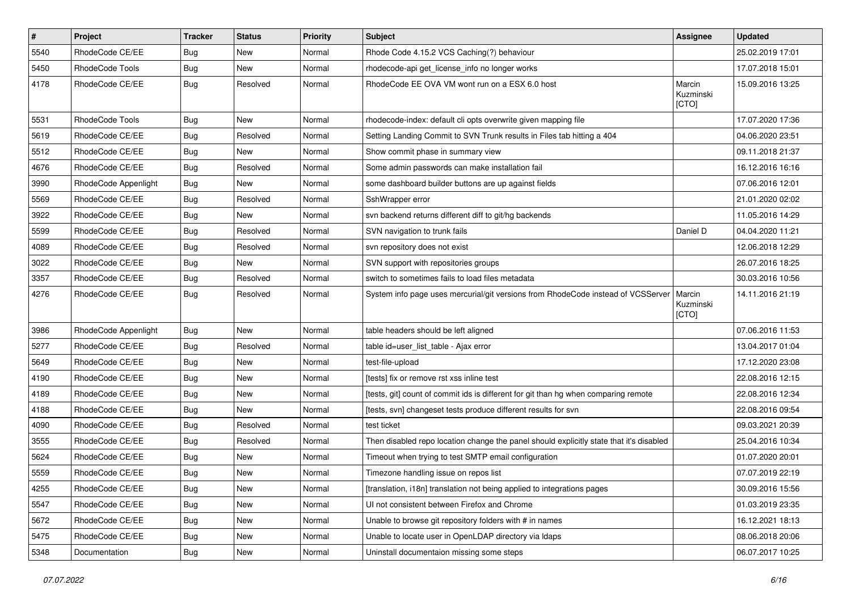| $\vert$ # | Project              | <b>Tracker</b> | <b>Status</b> | <b>Priority</b> | <b>Subject</b>                                                                          | <b>Assignee</b>              | <b>Updated</b>   |
|-----------|----------------------|----------------|---------------|-----------------|-----------------------------------------------------------------------------------------|------------------------------|------------------|
| 5540      | RhodeCode CE/EE      | Bug            | New           | Normal          | Rhode Code 4.15.2 VCS Caching(?) behaviour                                              |                              | 25.02.2019 17:01 |
| 5450      | RhodeCode Tools      | Bug            | <b>New</b>    | Normal          | rhodecode-api get_license_info no longer works                                          |                              | 17.07.2018 15:01 |
| 4178      | RhodeCode CE/EE      | Bug            | Resolved      | Normal          | RhodeCode EE OVA VM wont run on a ESX 6.0 host                                          | Marcin<br>Kuzminski<br>[CTO] | 15.09.2016 13:25 |
| 5531      | RhodeCode Tools      | Bug            | <b>New</b>    | Normal          | rhodecode-index: default cli opts overwrite given mapping file                          |                              | 17.07.2020 17:36 |
| 5619      | RhodeCode CE/EE      | Bug            | Resolved      | Normal          | Setting Landing Commit to SVN Trunk results in Files tab hitting a 404                  |                              | 04.06.2020 23:51 |
| 5512      | RhodeCode CE/EE      | Bug            | <b>New</b>    | Normal          | Show commit phase in summary view                                                       |                              | 09.11.2018 21:37 |
| 4676      | RhodeCode CE/EE      | <b>Bug</b>     | Resolved      | Normal          | Some admin passwords can make installation fail                                         |                              | 16.12.2016 16:16 |
| 3990      | RhodeCode Appenlight | Bug            | New           | Normal          | some dashboard builder buttons are up against fields                                    |                              | 07.06.2016 12:01 |
| 5569      | RhodeCode CE/EE      | <b>Bug</b>     | Resolved      | Normal          | SshWrapper error                                                                        |                              | 21.01.2020 02:02 |
| 3922      | RhodeCode CE/EE      | Bug            | <b>New</b>    | Normal          | svn backend returns different diff to git/hg backends                                   |                              | 11.05.2016 14:29 |
| 5599      | RhodeCode CE/EE      | Bug            | Resolved      | Normal          | SVN navigation to trunk fails                                                           | Daniel D                     | 04.04.2020 11:21 |
| 4089      | RhodeCode CE/EE      | Bug            | Resolved      | Normal          | svn repository does not exist                                                           |                              | 12.06.2018 12:29 |
| 3022      | RhodeCode CE/EE      | Bug            | <b>New</b>    | Normal          | SVN support with repositories groups                                                    |                              | 26.07.2016 18:25 |
| 3357      | RhodeCode CE/EE      | Bug            | Resolved      | Normal          | switch to sometimes fails to load files metadata                                        |                              | 30.03.2016 10:56 |
| 4276      | RhodeCode CE/EE      | Bug            | Resolved      | Normal          | System info page uses mercurial/git versions from RhodeCode instead of VCSServer        | Marcin<br>Kuzminski<br>[CTO] | 14.11.2016 21:19 |
| 3986      | RhodeCode Appenlight | Bug            | <b>New</b>    | Normal          | table headers should be left aligned                                                    |                              | 07.06.2016 11:53 |
| 5277      | RhodeCode CE/EE      | Bug            | Resolved      | Normal          | table id=user_list_table - Ajax error                                                   |                              | 13.04.2017 01:04 |
| 5649      | RhodeCode CE/EE      | Bug            | New           | Normal          | test-file-upload                                                                        |                              | 17.12.2020 23:08 |
| 4190      | RhodeCode CE/EE      | Bug            | New           | Normal          | [tests] fix or remove rst xss inline test                                               |                              | 22.08.2016 12:15 |
| 4189      | RhodeCode CE/EE      | Bug            | <b>New</b>    | Normal          | [tests, git] count of commit ids is different for git than hg when comparing remote     |                              | 22.08.2016 12:34 |
| 4188      | RhodeCode CE/EE      | <b>Bug</b>     | New           | Normal          | [tests, svn] changeset tests produce different results for svn                          |                              | 22.08.2016 09:54 |
| 4090      | RhodeCode CE/EE      | <b>Bug</b>     | Resolved      | Normal          | test ticket                                                                             |                              | 09.03.2021 20:39 |
| 3555      | RhodeCode CE/EE      | Bug            | Resolved      | Normal          | Then disabled repo location change the panel should explicitly state that it's disabled |                              | 25.04.2016 10:34 |
| 5624      | RhodeCode CE/EE      | <b>Bug</b>     | New           | Normal          | Timeout when trying to test SMTP email configuration                                    |                              | 01.07.2020 20:01 |
| 5559      | RhodeCode CE/EE      | Bug            | New           | Normal          | Timezone handling issue on repos list                                                   |                              | 07.07.2019 22:19 |
| 4255      | RhodeCode CE/EE      | <b>Bug</b>     | New           | Normal          | [translation, i18n] translation not being applied to integrations pages                 |                              | 30.09.2016 15:56 |
| 5547      | RhodeCode CE/EE      | Bug            | New           | Normal          | UI not consistent between Firefox and Chrome                                            |                              | 01.03.2019 23:35 |
| 5672      | RhodeCode CE/EE      | <b>Bug</b>     | New           | Normal          | Unable to browse git repository folders with # in names                                 |                              | 16.12.2021 18:13 |
| 5475      | RhodeCode CE/EE      | <b>Bug</b>     | New           | Normal          | Unable to locate user in OpenLDAP directory via Idaps                                   |                              | 08.06.2018 20:06 |
| 5348      | Documentation        | Bug            | New           | Normal          | Uninstall documentaion missing some steps                                               |                              | 06.07.2017 10:25 |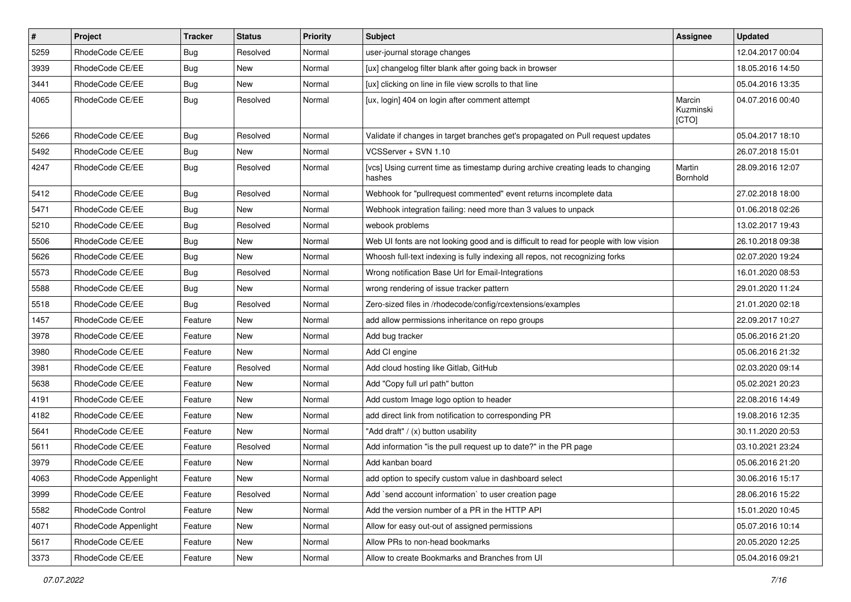| $\vert$ # | Project              | <b>Tracker</b> | <b>Status</b> | <b>Priority</b> | <b>Subject</b>                                                                            | <b>Assignee</b>              | <b>Updated</b>   |
|-----------|----------------------|----------------|---------------|-----------------|-------------------------------------------------------------------------------------------|------------------------------|------------------|
| 5259      | RhodeCode CE/EE      | <b>Bug</b>     | Resolved      | Normal          | user-journal storage changes                                                              |                              | 12.04.2017 00:04 |
| 3939      | RhodeCode CE/EE      | Bug            | New           | Normal          | [ux] changelog filter blank after going back in browser                                   |                              | 18.05.2016 14:50 |
| 3441      | RhodeCode CE/EE      | Bug            | New           | Normal          | [ux] clicking on line in file view scrolls to that line                                   |                              | 05.04.2016 13:35 |
| 4065      | RhodeCode CE/EE      | Bug            | Resolved      | Normal          | [ux, login] 404 on login after comment attempt                                            | Marcin<br>Kuzminski<br>[CTO] | 04.07.2016 00:40 |
| 5266      | RhodeCode CE/EE      | Bug            | Resolved      | Normal          | Validate if changes in target branches get's propagated on Pull request updates           |                              | 05.04.2017 18:10 |
| 5492      | RhodeCode CE/EE      | <b>Bug</b>     | <b>New</b>    | Normal          | VCSServer + SVN 1.10                                                                      |                              | 26.07.2018 15:01 |
| 4247      | RhodeCode CE/EE      | Bug            | Resolved      | Normal          | [vcs] Using current time as timestamp during archive creating leads to changing<br>hashes | Martin<br>Bornhold           | 28.09.2016 12:07 |
| 5412      | RhodeCode CE/EE      | Bug            | Resolved      | Normal          | Webhook for "pullrequest commented" event returns incomplete data                         |                              | 27.02.2018 18:00 |
| 5471      | RhodeCode CE/EE      | Bug            | New           | Normal          | Webhook integration failing: need more than 3 values to unpack                            |                              | 01.06.2018 02:26 |
| 5210      | RhodeCode CE/EE      | <b>Bug</b>     | Resolved      | Normal          | webook problems                                                                           |                              | 13.02.2017 19:43 |
| 5506      | RhodeCode CE/EE      | Bug            | New           | Normal          | Web UI fonts are not looking good and is difficult to read for people with low vision     |                              | 26.10.2018 09:38 |
| 5626      | RhodeCode CE/EE      | Bug            | New           | Normal          | Whoosh full-text indexing is fully indexing all repos, not recognizing forks              |                              | 02.07.2020 19:24 |
| 5573      | RhodeCode CE/EE      | Bug            | Resolved      | Normal          | Wrong notification Base Url for Email-Integrations                                        |                              | 16.01.2020 08:53 |
| 5588      | RhodeCode CE/EE      | Bug            | New           | Normal          | wrong rendering of issue tracker pattern                                                  |                              | 29.01.2020 11:24 |
| 5518      | RhodeCode CE/EE      | <b>Bug</b>     | Resolved      | Normal          | Zero-sized files in /rhodecode/config/rcextensions/examples                               |                              | 21.01.2020 02:18 |
| 1457      | RhodeCode CE/EE      | Feature        | New           | Normal          | add allow permissions inheritance on repo groups                                          |                              | 22.09.2017 10:27 |
| 3978      | RhodeCode CE/EE      | Feature        | New           | Normal          | Add bug tracker                                                                           |                              | 05.06.2016 21:20 |
| 3980      | RhodeCode CE/EE      | Feature        | <b>New</b>    | Normal          | Add CI engine                                                                             |                              | 05.06.2016 21:32 |
| 3981      | RhodeCode CE/EE      | Feature        | Resolved      | Normal          | Add cloud hosting like Gitlab, GitHub                                                     |                              | 02.03.2020 09:14 |
| 5638      | RhodeCode CE/EE      | Feature        | <b>New</b>    | Normal          | Add "Copy full url path" button                                                           |                              | 05.02.2021 20:23 |
| 4191      | RhodeCode CE/EE      | Feature        | New           | Normal          | Add custom Image logo option to header                                                    |                              | 22.08.2016 14:49 |
| 4182      | RhodeCode CE/EE      | Feature        | New           | Normal          | add direct link from notification to corresponding PR                                     |                              | 19.08.2016 12:35 |
| 5641      | RhodeCode CE/EE      | Feature        | <b>New</b>    | Normal          | "Add draft" / (x) button usability                                                        |                              | 30.11.2020 20:53 |
| 5611      | RhodeCode CE/EE      | Feature        | Resolved      | Normal          | Add information "is the pull request up to date?" in the PR page                          |                              | 03.10.2021 23:24 |
| 3979      | RhodeCode CE/EE      | Feature        | New           | Normal          | Add kanban board                                                                          |                              | 05.06.2016 21:20 |
| 4063      | RhodeCode Appenlight | Feature        | New           | Normal          | add option to specify custom value in dashboard select                                    |                              | 30.06.2016 15:17 |
| 3999      | RhodeCode CE/EE      | Feature        | Resolved      | Normal          | Add `send account information` to user creation page                                      |                              | 28.06.2016 15:22 |
| 5582      | RhodeCode Control    | Feature        | New           | Normal          | Add the version number of a PR in the HTTP API                                            |                              | 15.01.2020 10:45 |
| 4071      | RhodeCode Appenlight | Feature        | New           | Normal          | Allow for easy out-out of assigned permissions                                            |                              | 05.07.2016 10:14 |
| 5617      | RhodeCode CE/EE      | Feature        | New           | Normal          | Allow PRs to non-head bookmarks                                                           |                              | 20.05.2020 12:25 |
| 3373      | RhodeCode CE/EE      | Feature        | New           | Normal          | Allow to create Bookmarks and Branches from UI                                            |                              | 05.04.2016 09:21 |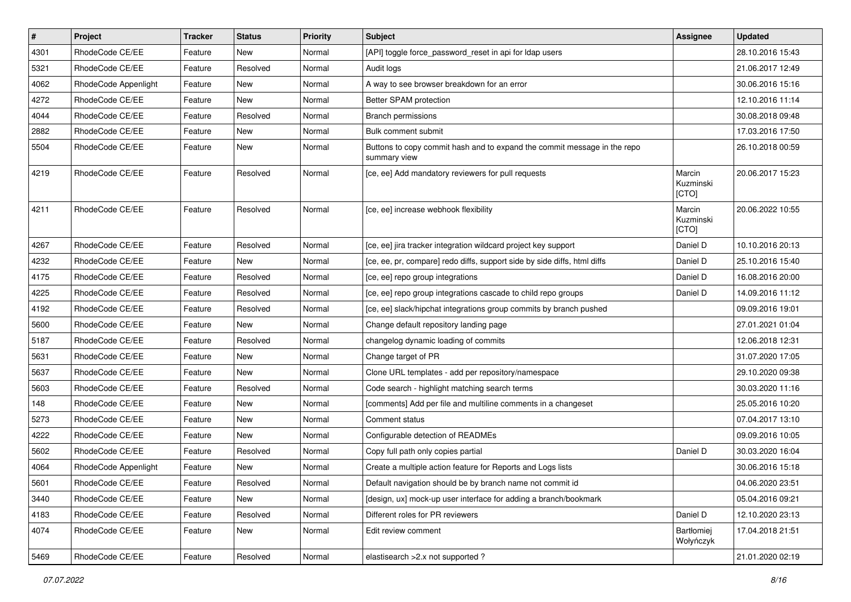| $\pmb{\#}$ | Project              | <b>Tracker</b> | <b>Status</b> | <b>Priority</b> | <b>Subject</b>                                                                           | Assignee                     | <b>Updated</b>   |
|------------|----------------------|----------------|---------------|-----------------|------------------------------------------------------------------------------------------|------------------------------|------------------|
| 4301       | RhodeCode CE/EE      | Feature        | New           | Normal          | [API] toggle force password reset in api for Idap users                                  |                              | 28.10.2016 15:43 |
| 5321       | RhodeCode CE/EE      | Feature        | Resolved      | Normal          | Audit logs                                                                               |                              | 21.06.2017 12:49 |
| 4062       | RhodeCode Appenlight | Feature        | New           | Normal          | A way to see browser breakdown for an error                                              |                              | 30.06.2016 15:16 |
| 4272       | RhodeCode CE/EE      | Feature        | New           | Normal          | Better SPAM protection                                                                   |                              | 12.10.2016 11:14 |
| 4044       | RhodeCode CE/EE      | Feature        | Resolved      | Normal          | <b>Branch permissions</b>                                                                |                              | 30.08.2018 09:48 |
| 2882       | RhodeCode CE/EE      | Feature        | New           | Normal          | Bulk comment submit                                                                      |                              | 17.03.2016 17:50 |
| 5504       | RhodeCode CE/EE      | Feature        | New           | Normal          | Buttons to copy commit hash and to expand the commit message in the repo<br>summary view |                              | 26.10.2018 00:59 |
| 4219       | RhodeCode CE/EE      | Feature        | Resolved      | Normal          | [ce, ee] Add mandatory reviewers for pull requests                                       | Marcin<br>Kuzminski<br>[CTO] | 20.06.2017 15:23 |
| 4211       | RhodeCode CE/EE      | Feature        | Resolved      | Normal          | [ce, ee] increase webhook flexibility                                                    | Marcin<br>Kuzminski<br>[CTO] | 20.06.2022 10:55 |
| 4267       | RhodeCode CE/EE      | Feature        | Resolved      | Normal          | [ce, ee] jira tracker integration wildcard project key support                           | Daniel D                     | 10.10.2016 20:13 |
| 4232       | RhodeCode CE/EE      | Feature        | <b>New</b>    | Normal          | [ce, ee, pr, compare] redo diffs, support side by side diffs, html diffs                 | Daniel D                     | 25.10.2016 15:40 |
| 4175       | RhodeCode CE/EE      | Feature        | Resolved      | Normal          | [ce, ee] repo group integrations                                                         | Daniel D                     | 16.08.2016 20:00 |
| 4225       | RhodeCode CE/EE      | Feature        | Resolved      | Normal          | [ce, ee] repo group integrations cascade to child repo groups                            | Daniel D                     | 14.09.2016 11:12 |
| 4192       | RhodeCode CE/EE      | Feature        | Resolved      | Normal          | [ce, ee] slack/hipchat integrations group commits by branch pushed                       |                              | 09.09.2016 19:01 |
| 5600       | RhodeCode CE/EE      | Feature        | <b>New</b>    | Normal          | Change default repository landing page                                                   |                              | 27.01.2021 01:04 |
| 5187       | RhodeCode CE/EE      | Feature        | Resolved      | Normal          | changelog dynamic loading of commits                                                     |                              | 12.06.2018 12:31 |
| 5631       | RhodeCode CE/EE      | Feature        | New           | Normal          | Change target of PR                                                                      |                              | 31.07.2020 17:05 |
| 5637       | RhodeCode CE/EE      | Feature        | New           | Normal          | Clone URL templates - add per repository/namespace                                       |                              | 29.10.2020 09:38 |
| 5603       | RhodeCode CE/EE      | Feature        | Resolved      | Normal          | Code search - highlight matching search terms                                            |                              | 30.03.2020 11:16 |
| 148        | RhodeCode CE/EE      | Feature        | New           | Normal          | [comments] Add per file and multiline comments in a changeset                            |                              | 25.05.2016 10:20 |
| 5273       | RhodeCode CE/EE      | Feature        | <b>New</b>    | Normal          | Comment status                                                                           |                              | 07.04.2017 13:10 |
| 4222       | RhodeCode CE/EE      | Feature        | New           | Normal          | Configurable detection of READMEs                                                        |                              | 09.09.2016 10:05 |
| 5602       | RhodeCode CE/EE      | Feature        | Resolved      | Normal          | Copy full path only copies partial                                                       | Daniel D                     | 30.03.2020 16:04 |
| 4064       | RhodeCode Appenlight | Feature        | <b>New</b>    | Normal          | Create a multiple action feature for Reports and Logs lists                              |                              | 30.06.2016 15:18 |
| 5601       | RhodeCode CE/EE      | Feature        | Resolved      | Normal          | Default navigation should be by branch name not commit id                                |                              | 04.06.2020 23:51 |
| 3440       | RhodeCode CE/EE      | Feature        | New           | Normal          | [design, ux] mock-up user interface for adding a branch/bookmark                         |                              | 05.04.2016 09:21 |
| 4183       | RhodeCode CE/EE      | Feature        | Resolved      | Normal          | Different roles for PR reviewers                                                         | Daniel D                     | 12.10.2020 23:13 |
| 4074       | RhodeCode CE/EE      | Feature        | New           | Normal          | Edit review comment                                                                      | Bartłomiej<br>Wołyńczyk      | 17.04.2018 21:51 |
| 5469       | RhodeCode CE/EE      | Feature        | Resolved      | Normal          | elastisearch > 2.x not supported ?                                                       |                              | 21.01.2020 02:19 |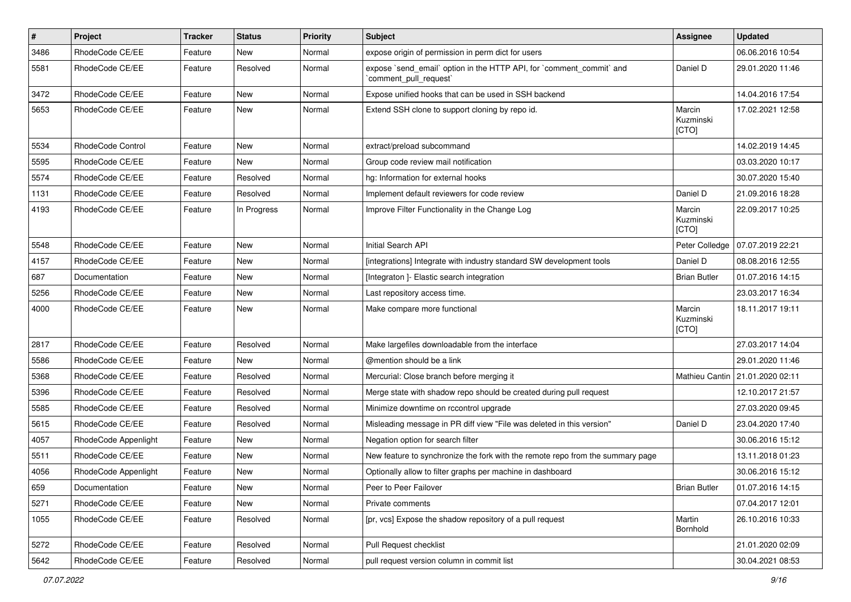| $\sharp$ | Project              | Tracker | <b>Status</b> | <b>Priority</b> | Subject                                                                                        | <b>Assignee</b>              | <b>Updated</b>   |
|----------|----------------------|---------|---------------|-----------------|------------------------------------------------------------------------------------------------|------------------------------|------------------|
| 3486     | RhodeCode CE/EE      | Feature | New           | Normal          | expose origin of permission in perm dict for users                                             |                              | 06.06.2016 10:54 |
| 5581     | RhodeCode CE/EE      | Feature | Resolved      | Normal          | expose `send_email` option in the HTTP API, for `comment_commit` and<br>`comment pull request` | Daniel D                     | 29.01.2020 11:46 |
| 3472     | RhodeCode CE/EE      | Feature | New           | Normal          | Expose unified hooks that can be used in SSH backend                                           |                              | 14.04.2016 17:54 |
| 5653     | RhodeCode CE/EE      | Feature | New           | Normal          | Extend SSH clone to support cloning by repo id.                                                | Marcin<br>Kuzminski<br>[CTO] | 17.02.2021 12:58 |
| 5534     | RhodeCode Control    | Feature | <b>New</b>    | Normal          | extract/preload subcommand                                                                     |                              | 14.02.2019 14:45 |
| 5595     | RhodeCode CE/EE      | Feature | New           | Normal          | Group code review mail notification                                                            |                              | 03.03.2020 10:17 |
| 5574     | RhodeCode CE/EE      | Feature | Resolved      | Normal          | hg: Information for external hooks                                                             |                              | 30.07.2020 15:40 |
| 1131     | RhodeCode CE/EE      | Feature | Resolved      | Normal          | Implement default reviewers for code review                                                    | Daniel D                     | 21.09.2016 18:28 |
| 4193     | RhodeCode CE/EE      | Feature | In Progress   | Normal          | Improve Filter Functionality in the Change Log                                                 | Marcin<br>Kuzminski<br>[CTO] | 22.09.2017 10:25 |
| 5548     | RhodeCode CE/EE      | Feature | New           | Normal          | Initial Search API                                                                             | Peter Colledge               | 07.07.2019 22:21 |
| 4157     | RhodeCode CE/EE      | Feature | New           | Normal          | [integrations] Integrate with industry standard SW development tools                           | Daniel D                     | 08.08.2016 12:55 |
| 687      | Documentation        | Feature | New           | Normal          | [Integraton ]- Elastic search integration                                                      | <b>Brian Butler</b>          | 01.07.2016 14:15 |
| 5256     | RhodeCode CE/EE      | Feature | <b>New</b>    | Normal          | Last repository access time.                                                                   |                              | 23.03.2017 16:34 |
| 4000     | RhodeCode CE/EE      | Feature | New           | Normal          | Make compare more functional                                                                   | Marcin<br>Kuzminski<br>[CTO] | 18.11.2017 19:11 |
| 2817     | RhodeCode CE/EE      | Feature | Resolved      | Normal          | Make largefiles downloadable from the interface                                                |                              | 27.03.2017 14:04 |
| 5586     | RhodeCode CE/EE      | Feature | New           | Normal          | @mention should be a link                                                                      |                              | 29.01.2020 11:46 |
| 5368     | RhodeCode CE/EE      | Feature | Resolved      | Normal          | Mercurial: Close branch before merging it                                                      | Mathieu Cantin               | 21.01.2020 02:11 |
| 5396     | RhodeCode CE/EE      | Feature | Resolved      | Normal          | Merge state with shadow repo should be created during pull request                             |                              | 12.10.2017 21:57 |
| 5585     | RhodeCode CE/EE      | Feature | Resolved      | Normal          | Minimize downtime on rccontrol upgrade                                                         |                              | 27.03.2020 09:45 |
| 5615     | RhodeCode CE/EE      | Feature | Resolved      | Normal          | Misleading message in PR diff view "File was deleted in this version"                          | Daniel D                     | 23.04.2020 17:40 |
| 4057     | RhodeCode Appenlight | Feature | New           | Normal          | Negation option for search filter                                                              |                              | 30.06.2016 15:12 |
| 5511     | RhodeCode CE/EE      | Feature | New           | Normal          | New feature to synchronize the fork with the remote repo from the summary page                 |                              | 13.11.2018 01:23 |
| 4056     | RhodeCode Appenlight | Feature | New           | Normal          | Optionally allow to filter graphs per machine in dashboard                                     |                              | 30.06.2016 15:12 |
| 659      | Documentation        | Feature | New           | Normal          | Peer to Peer Failover                                                                          | <b>Brian Butler</b>          | 01.07.2016 14:15 |
| 5271     | RhodeCode CE/EE      | Feature | New           | Normal          | Private comments                                                                               |                              | 07.04.2017 12:01 |
| 1055     | RhodeCode CE/EE      | Feature | Resolved      | Normal          | [pr, vcs] Expose the shadow repository of a pull request                                       | Martin<br>Bornhold           | 26.10.2016 10:33 |
| 5272     | RhodeCode CE/EE      | Feature | Resolved      | Normal          | Pull Request checklist                                                                         |                              | 21.01.2020 02:09 |
| 5642     | RhodeCode CE/EE      | Feature | Resolved      | Normal          | pull request version column in commit list                                                     |                              | 30.04.2021 08:53 |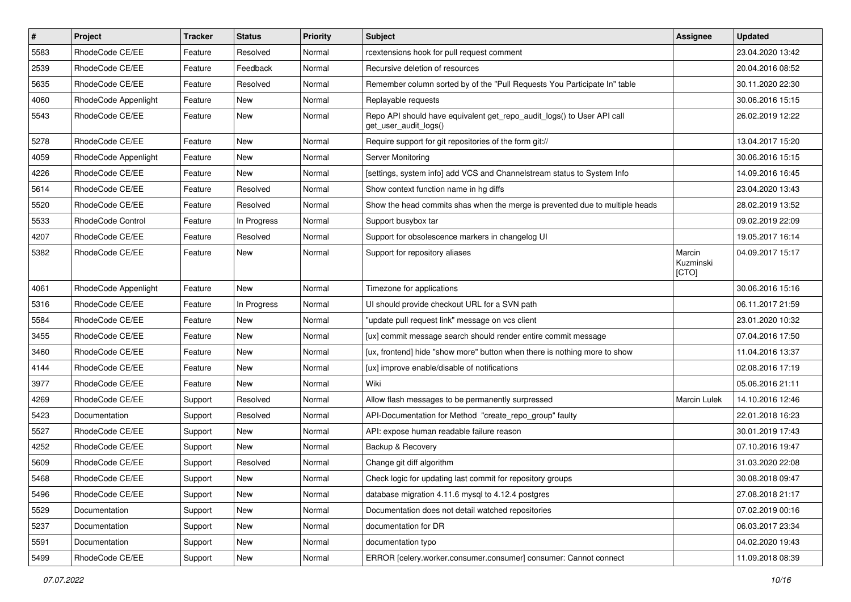| $\pmb{\#}$ | Project              | <b>Tracker</b> | <b>Status</b> | Priority | Subject                                                                                         | Assignee                     | <b>Updated</b>   |
|------------|----------------------|----------------|---------------|----------|-------------------------------------------------------------------------------------------------|------------------------------|------------------|
| 5583       | RhodeCode CE/EE      | Feature        | Resolved      | Normal   | rcextensions hook for pull request comment                                                      |                              | 23.04.2020 13:42 |
| 2539       | RhodeCode CE/EE      | Feature        | Feedback      | Normal   | Recursive deletion of resources                                                                 |                              | 20.04.2016 08:52 |
| 5635       | RhodeCode CE/EE      | Feature        | Resolved      | Normal   | Remember column sorted by of the "Pull Requests You Participate In" table                       |                              | 30.11.2020 22:30 |
| 4060       | RhodeCode Appenlight | Feature        | New           | Normal   | Replayable requests                                                                             |                              | 30.06.2016 15:15 |
| 5543       | RhodeCode CE/EE      | Feature        | <b>New</b>    | Normal   | Repo API should have equivalent get_repo_audit_logs() to User API call<br>get_user_audit_logs() |                              | 26.02.2019 12:22 |
| 5278       | RhodeCode CE/EE      | Feature        | <b>New</b>    | Normal   | Require support for git repositories of the form git://                                         |                              | 13.04.2017 15:20 |
| 4059       | RhodeCode Appenlight | Feature        | <b>New</b>    | Normal   | Server Monitoring                                                                               |                              | 30.06.2016 15:15 |
| 4226       | RhodeCode CE/EE      | Feature        | New           | Normal   | [settings, system info] add VCS and Channelstream status to System Info                         |                              | 14.09.2016 16:45 |
| 5614       | RhodeCode CE/EE      | Feature        | Resolved      | Normal   | Show context function name in hg diffs                                                          |                              | 23.04.2020 13:43 |
| 5520       | RhodeCode CE/EE      | Feature        | Resolved      | Normal   | Show the head commits shas when the merge is prevented due to multiple heads                    |                              | 28.02.2019 13:52 |
| 5533       | RhodeCode Control    | Feature        | In Progress   | Normal   | Support busybox tar                                                                             |                              | 09.02.2019 22:09 |
| 4207       | RhodeCode CE/EE      | Feature        | Resolved      | Normal   | Support for obsolescence markers in changelog UI                                                |                              | 19.05.2017 16:14 |
| 5382       | RhodeCode CE/EE      | Feature        | New           | Normal   | Support for repository aliases                                                                  | Marcin<br>Kuzminski<br>[CTO] | 04.09.2017 15:17 |
| 4061       | RhodeCode Appenlight | Feature        | <b>New</b>    | Normal   | Timezone for applications                                                                       |                              | 30.06.2016 15:16 |
| 5316       | RhodeCode CE/EE      | Feature        | In Progress   | Normal   | UI should provide checkout URL for a SVN path                                                   |                              | 06.11.2017 21:59 |
| 5584       | RhodeCode CE/EE      | Feature        | New           | Normal   | "update pull request link" message on vcs client                                                |                              | 23.01.2020 10:32 |
| 3455       | RhodeCode CE/EE      | Feature        | New           | Normal   | [ux] commit message search should render entire commit message                                  |                              | 07.04.2016 17:50 |
| 3460       | RhodeCode CE/EE      | Feature        | <b>New</b>    | Normal   | [ux, frontend] hide "show more" button when there is nothing more to show                       |                              | 11.04.2016 13:37 |
| 4144       | RhodeCode CE/EE      | Feature        | New           | Normal   | [ux] improve enable/disable of notifications                                                    |                              | 02.08.2016 17:19 |
| 3977       | RhodeCode CE/EE      | Feature        | <b>New</b>    | Normal   | Wiki                                                                                            |                              | 05.06.2016 21:11 |
| 4269       | RhodeCode CE/EE      | Support        | Resolved      | Normal   | Allow flash messages to be permanently surpressed                                               | Marcin Lulek                 | 14.10.2016 12:46 |
| 5423       | Documentation        | Support        | Resolved      | Normal   | API-Documentation for Method "create_repo_group" faulty                                         |                              | 22.01.2018 16:23 |
| 5527       | RhodeCode CE/EE      | Support        | <b>New</b>    | Normal   | API: expose human readable failure reason                                                       |                              | 30.01.2019 17:43 |
| 4252       | RhodeCode CE/EE      | Support        | <b>New</b>    | Normal   | Backup & Recovery                                                                               |                              | 07.10.2016 19:47 |
| 5609       | RhodeCode CE/EE      | Support        | Resolved      | Normal   | Change git diff algorithm                                                                       |                              | 31.03.2020 22:08 |
| 5468       | RhodeCode CE/EE      | Support        | New           | Normal   | Check logic for updating last commit for repository groups                                      |                              | 30.08.2018 09:47 |
| 5496       | RhodeCode CE/EE      | Support        | New           | Normal   | database migration 4.11.6 mysql to 4.12.4 postgres                                              |                              | 27.08.2018 21:17 |
| 5529       | Documentation        | Support        | New           | Normal   | Documentation does not detail watched repositories                                              |                              | 07.02.2019 00:16 |
| 5237       | Documentation        | Support        | New           | Normal   | documentation for DR                                                                            |                              | 06.03.2017 23:34 |
| 5591       | Documentation        | Support        | New           | Normal   | documentation typo                                                                              |                              | 04.02.2020 19:43 |
| 5499       | RhodeCode CE/EE      | Support        | New           | Normal   | ERROR [celery.worker.consumer.consumer] consumer: Cannot connect                                |                              | 11.09.2018 08:39 |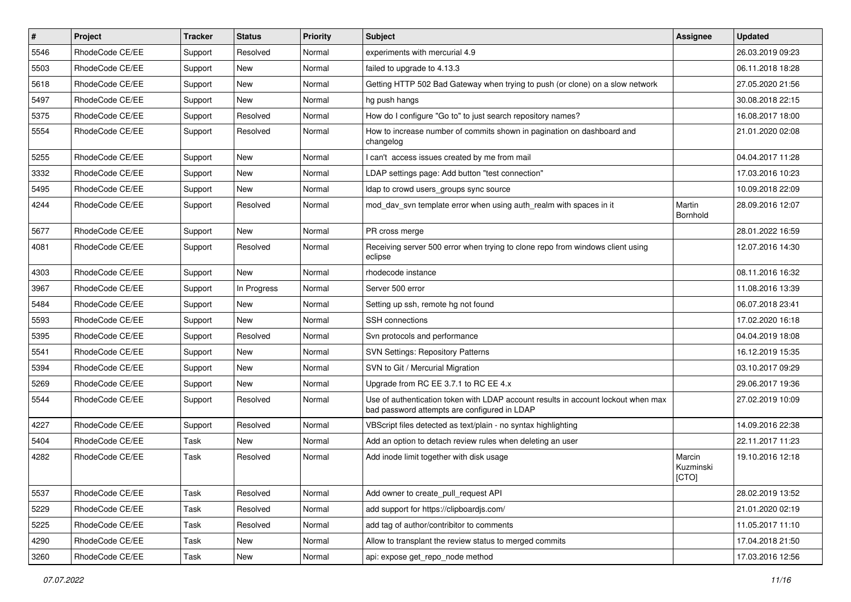| $\pmb{\#}$ | Project         | <b>Tracker</b> | <b>Status</b> | <b>Priority</b> | <b>Subject</b>                                                                                                                    | <b>Assignee</b>              | <b>Updated</b>   |
|------------|-----------------|----------------|---------------|-----------------|-----------------------------------------------------------------------------------------------------------------------------------|------------------------------|------------------|
| 5546       | RhodeCode CE/EE | Support        | Resolved      | Normal          | experiments with mercurial 4.9                                                                                                    |                              | 26.03.2019 09:23 |
| 5503       | RhodeCode CE/EE | Support        | <b>New</b>    | Normal          | failed to upgrade to 4.13.3                                                                                                       |                              | 06.11.2018 18:28 |
| 5618       | RhodeCode CE/EE | Support        | New           | Normal          | Getting HTTP 502 Bad Gateway when trying to push (or clone) on a slow network                                                     |                              | 27.05.2020 21:56 |
| 5497       | RhodeCode CE/EE | Support        | New           | Normal          | hg push hangs                                                                                                                     |                              | 30.08.2018 22:15 |
| 5375       | RhodeCode CE/EE | Support        | Resolved      | Normal          | How do I configure "Go to" to just search repository names?                                                                       |                              | 16.08.2017 18:00 |
| 5554       | RhodeCode CE/EE | Support        | Resolved      | Normal          | How to increase number of commits shown in pagination on dashboard and<br>changelog                                               |                              | 21.01.2020 02:08 |
| 5255       | RhodeCode CE/EE | Support        | <b>New</b>    | Normal          | I can't access issues created by me from mail                                                                                     |                              | 04.04.2017 11:28 |
| 3332       | RhodeCode CE/EE | Support        | <b>New</b>    | Normal          | LDAP settings page: Add button "test connection"                                                                                  |                              | 17.03.2016 10:23 |
| 5495       | RhodeCode CE/EE | Support        | New           | Normal          | Idap to crowd users_groups sync source                                                                                            |                              | 10.09.2018 22:09 |
| 4244       | RhodeCode CE/EE | Support        | Resolved      | Normal          | mod day syn template error when using auth realm with spaces in it                                                                | Martin<br>Bornhold           | 28.09.2016 12:07 |
| 5677       | RhodeCode CE/EE | Support        | <b>New</b>    | Normal          | PR cross merge                                                                                                                    |                              | 28.01.2022 16:59 |
| 4081       | RhodeCode CE/EE | Support        | Resolved      | Normal          | Receiving server 500 error when trying to clone repo from windows client using<br>eclipse                                         |                              | 12.07.2016 14:30 |
| 4303       | RhodeCode CE/EE | Support        | New           | Normal          | rhodecode instance                                                                                                                |                              | 08.11.2016 16:32 |
| 3967       | RhodeCode CE/EE | Support        | In Progress   | Normal          | Server 500 error                                                                                                                  |                              | 11.08.2016 13:39 |
| 5484       | RhodeCode CE/EE | Support        | <b>New</b>    | Normal          | Setting up ssh, remote hg not found                                                                                               |                              | 06.07.2018 23:41 |
| 5593       | RhodeCode CE/EE | Support        | New           | Normal          | <b>SSH</b> connections                                                                                                            |                              | 17.02.2020 16:18 |
| 5395       | RhodeCode CE/EE | Support        | Resolved      | Normal          | Svn protocols and performance                                                                                                     |                              | 04.04.2019 18:08 |
| 5541       | RhodeCode CE/EE | Support        | <b>New</b>    | Normal          | <b>SVN Settings: Repository Patterns</b>                                                                                          |                              | 16.12.2019 15:35 |
| 5394       | RhodeCode CE/EE | Support        | <b>New</b>    | Normal          | SVN to Git / Mercurial Migration                                                                                                  |                              | 03.10.2017 09:29 |
| 5269       | RhodeCode CE/EE | Support        | New           | Normal          | Upgrade from RC EE 3.7.1 to RC EE 4.x                                                                                             |                              | 29.06.2017 19:36 |
| 5544       | RhodeCode CE/EE | Support        | Resolved      | Normal          | Use of authentication token with LDAP account results in account lockout when max<br>bad password attempts are configured in LDAP |                              | 27.02.2019 10:09 |
| 4227       | RhodeCode CE/EE | Support        | Resolved      | Normal          | VBScript files detected as text/plain - no syntax highlighting                                                                    |                              | 14.09.2016 22:38 |
| 5404       | RhodeCode CE/EE | Task           | <b>New</b>    | Normal          | Add an option to detach review rules when deleting an user                                                                        |                              | 22.11.2017 11:23 |
| 4282       | RhodeCode CE/EE | Task           | Resolved      | Normal          | Add inode limit together with disk usage                                                                                          | Marcin<br>Kuzminski<br>[CTO] | 19.10.2016 12:18 |
| 5537       | RhodeCode CE/EE | Task           | Resolved      | Normal          | Add owner to create_pull_request API                                                                                              |                              | 28.02.2019 13:52 |
| 5229       | RhodeCode CE/EE | Task           | Resolved      | Normal          | add support for https://clipboardjs.com/                                                                                          |                              | 21.01.2020 02:19 |
| 5225       | RhodeCode CE/EE | Task           | Resolved      | Normal          | add tag of author/contribitor to comments                                                                                         |                              | 11.05.2017 11:10 |
| 4290       | RhodeCode CE/EE | Task           | New           | Normal          | Allow to transplant the review status to merged commits                                                                           |                              | 17.04.2018 21:50 |
| 3260       | RhodeCode CE/EE | Task           | New           | Normal          | api: expose get repo node method                                                                                                  |                              | 17.03.2016 12:56 |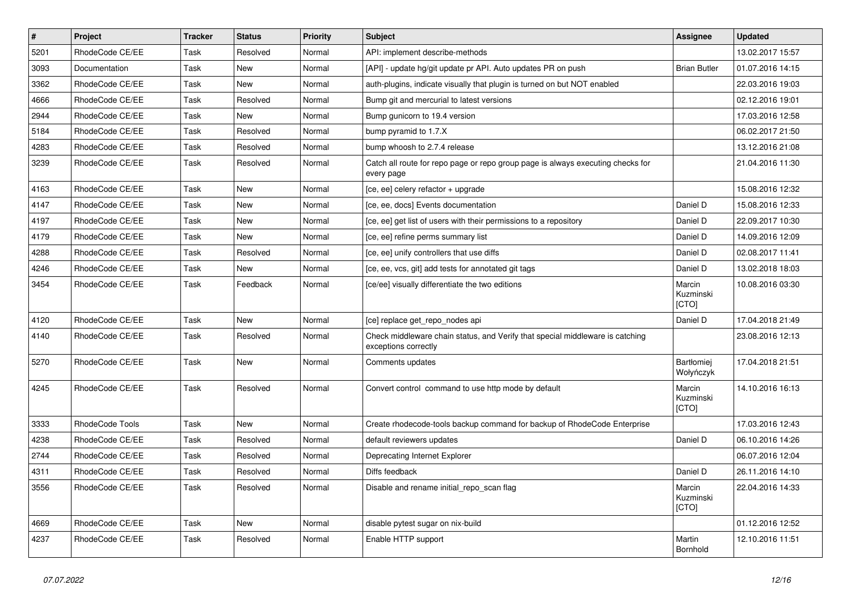| $\vert$ # | Project         | <b>Tracker</b> | <b>Status</b> | Priority | Subject                                                                                               | <b>Assignee</b>              | <b>Updated</b>   |
|-----------|-----------------|----------------|---------------|----------|-------------------------------------------------------------------------------------------------------|------------------------------|------------------|
| 5201      | RhodeCode CE/EE | Task           | Resolved      | Normal   | API: implement describe-methods                                                                       |                              | 13.02.2017 15:57 |
| 3093      | Documentation   | Task           | <b>New</b>    | Normal   | [API] - update hg/git update pr API. Auto updates PR on push                                          | <b>Brian Butler</b>          | 01.07.2016 14:15 |
| 3362      | RhodeCode CE/EE | Task           | New           | Normal   | auth-plugins, indicate visually that plugin is turned on but NOT enabled                              |                              | 22.03.2016 19:03 |
| 4666      | RhodeCode CE/EE | Task           | Resolved      | Normal   | Bump git and mercurial to latest versions                                                             |                              | 02.12.2016 19:01 |
| 2944      | RhodeCode CE/EE | Task           | <b>New</b>    | Normal   | Bump gunicorn to 19.4 version                                                                         |                              | 17.03.2016 12:58 |
| 5184      | RhodeCode CE/EE | Task           | Resolved      | Normal   | bump pyramid to 1.7.X                                                                                 |                              | 06.02.2017 21:50 |
| 4283      | RhodeCode CE/EE | Task           | Resolved      | Normal   | bump whoosh to 2.7.4 release                                                                          |                              | 13.12.2016 21:08 |
| 3239      | RhodeCode CE/EE | Task           | Resolved      | Normal   | Catch all route for repo page or repo group page is always executing checks for<br>every page         |                              | 21.04.2016 11:30 |
| 4163      | RhodeCode CE/EE | Task           | <b>New</b>    | Normal   | [ce, ee] celery refactor + upgrade                                                                    |                              | 15.08.2016 12:32 |
| 4147      | RhodeCode CE/EE | Task           | New           | Normal   | [ce, ee, docs] Events documentation                                                                   | Daniel D                     | 15.08.2016 12:33 |
| 4197      | RhodeCode CE/EE | Task           | <b>New</b>    | Normal   | [ce, ee] get list of users with their permissions to a repository                                     | Daniel D                     | 22.09.2017 10:30 |
| 4179      | RhodeCode CE/EE | Task           | <b>New</b>    | Normal   | [ce, ee] refine perms summary list                                                                    | Daniel D                     | 14.09.2016 12:09 |
| 4288      | RhodeCode CE/EE | Task           | Resolved      | Normal   | [ce, ee] unify controllers that use diffs                                                             | Daniel D                     | 02.08.2017 11:41 |
| 4246      | RhodeCode CE/EE | Task           | New           | Normal   | [ce, ee, vcs, git] add tests for annotated git tags                                                   | Daniel D                     | 13.02.2018 18:03 |
| 3454      | RhodeCode CE/EE | Task           | Feedback      | Normal   | [ce/ee] visually differentiate the two editions                                                       | Marcin<br>Kuzminski<br>[CTO] | 10.08.2016 03:30 |
| 4120      | RhodeCode CE/EE | Task           | New           | Normal   | [ce] replace get repo nodes api                                                                       | Daniel D                     | 17.04.2018 21:49 |
| 4140      | RhodeCode CE/EE | Task           | Resolved      | Normal   | Check middleware chain status, and Verify that special middleware is catching<br>exceptions correctly |                              | 23.08.2016 12:13 |
| 5270      | RhodeCode CE/EE | Task           | <b>New</b>    | Normal   | Comments updates                                                                                      | Bartłomiej<br>Wołyńczyk      | 17.04.2018 21:51 |
| 4245      | RhodeCode CE/EE | Task           | Resolved      | Normal   | Convert control command to use http mode by default                                                   | Marcin<br>Kuzminski<br>[CTO] | 14.10.2016 16:13 |
| 3333      | RhodeCode Tools | Task           | <b>New</b>    | Normal   | Create rhodecode-tools backup command for backup of RhodeCode Enterprise                              |                              | 17.03.2016 12:43 |
| 4238      | RhodeCode CE/EE | Task           | Resolved      | Normal   | default reviewers updates                                                                             | Daniel D                     | 06.10.2016 14:26 |
| 2744      | RhodeCode CE/EE | Task           | Resolved      | Normal   | Deprecating Internet Explorer                                                                         |                              | 06.07.2016 12:04 |
| 4311      | RhodeCode CE/EE | Task           | Resolved      | Normal   | Diffs feedback                                                                                        | Daniel D                     | 26.11.2016 14:10 |
| 3556      | RhodeCode CE/EE | Task           | Resolved      | Normal   | Disable and rename initial_repo_scan flag                                                             | Marcin<br>Kuzminski<br>[CTO] | 22.04.2016 14:33 |
| 4669      | RhodeCode CE/EE | Task           | New           | Normal   | disable pytest sugar on nix-build                                                                     |                              | 01.12.2016 12:52 |
| 4237      | RhodeCode CE/EE | Task           | Resolved      | Normal   | Enable HTTP support                                                                                   | Martin<br>Bornhold           | 12.10.2016 11:51 |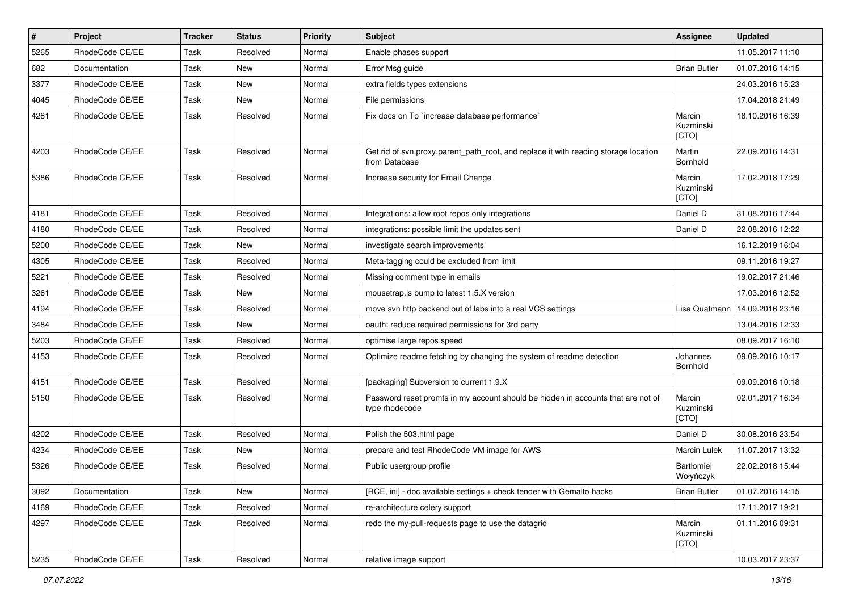| $\vert$ # | Project         | <b>Tracker</b> | <b>Status</b> | <b>Priority</b> | Subject                                                                                              | Assignee                     | <b>Updated</b>   |
|-----------|-----------------|----------------|---------------|-----------------|------------------------------------------------------------------------------------------------------|------------------------------|------------------|
| 5265      | RhodeCode CE/EE | Task           | Resolved      | Normal          | Enable phases support                                                                                |                              | 11.05.2017 11:10 |
| 682       | Documentation   | Task           | <b>New</b>    | Normal          | Error Msg guide                                                                                      | <b>Brian Butler</b>          | 01.07.2016 14:15 |
| 3377      | RhodeCode CE/EE | Task           | New           | Normal          | extra fields types extensions                                                                        |                              | 24.03.2016 15:23 |
| 4045      | RhodeCode CE/EE | Task           | New           | Normal          | File permissions                                                                                     |                              | 17.04.2018 21:49 |
| 4281      | RhodeCode CE/EE | Task           | Resolved      | Normal          | Fix docs on To `increase database performance`                                                       | Marcin<br>Kuzminski<br>[CTO] | 18.10.2016 16:39 |
| 4203      | RhodeCode CE/EE | Task           | Resolved      | Normal          | Get rid of svn.proxy.parent_path_root, and replace it with reading storage location<br>from Database | Martin<br>Bornhold           | 22.09.2016 14:31 |
| 5386      | RhodeCode CE/EE | Task           | Resolved      | Normal          | Increase security for Email Change                                                                   | Marcin<br>Kuzminski<br>[CTO] | 17.02.2018 17:29 |
| 4181      | RhodeCode CE/EE | Task           | Resolved      | Normal          | Integrations: allow root repos only integrations                                                     | Daniel D                     | 31.08.2016 17:44 |
| 4180      | RhodeCode CE/EE | Task           | Resolved      | Normal          | integrations: possible limit the updates sent                                                        | Daniel D                     | 22.08.2016 12:22 |
| 5200      | RhodeCode CE/EE | Task           | New           | Normal          | investigate search improvements                                                                      |                              | 16.12.2019 16:04 |
| 4305      | RhodeCode CE/EE | Task           | Resolved      | Normal          | Meta-tagging could be excluded from limit                                                            |                              | 09.11.2016 19:27 |
| 5221      | RhodeCode CE/EE | Task           | Resolved      | Normal          | Missing comment type in emails                                                                       |                              | 19.02.2017 21:46 |
| 3261      | RhodeCode CE/EE | Task           | <b>New</b>    | Normal          | mousetrap.js bump to latest 1.5.X version                                                            |                              | 17.03.2016 12:52 |
| 4194      | RhodeCode CE/EE | Task           | Resolved      | Normal          | move svn http backend out of labs into a real VCS settings                                           | Lisa Quatmann                | 14.09.2016 23:16 |
| 3484      | RhodeCode CE/EE | Task           | <b>New</b>    | Normal          | oauth: reduce required permissions for 3rd party                                                     |                              | 13.04.2016 12:33 |
| 5203      | RhodeCode CE/EE | Task           | Resolved      | Normal          | optimise large repos speed                                                                           |                              | 08.09.2017 16:10 |
| 4153      | RhodeCode CE/EE | Task           | Resolved      | Normal          | Optimize readme fetching by changing the system of readme detection                                  | Johannes<br>Bornhold         | 09.09.2016 10:17 |
| 4151      | RhodeCode CE/EE | Task           | Resolved      | Normal          | [packaging] Subversion to current 1.9.X                                                              |                              | 09.09.2016 10:18 |
| 5150      | RhodeCode CE/EE | Task           | Resolved      | Normal          | Password reset promts in my account should be hidden in accounts that are not of<br>type rhodecode   | Marcin<br>Kuzminski<br>[CTO] | 02.01.2017 16:34 |
| 4202      | RhodeCode CE/EE | Task           | Resolved      | Normal          | Polish the 503.html page                                                                             | Daniel D                     | 30.08.2016 23:54 |
| 4234      | RhodeCode CE/EE | Task           | <b>New</b>    | Normal          | prepare and test RhodeCode VM image for AWS                                                          | Marcin Lulek                 | 11.07.2017 13:32 |
| 5326      | RhodeCode CE/EE | Task           | Resolved      | Normal          | Public usergroup profile                                                                             | Bartłomiej<br>Wołyńczyk      | 22.02.2018 15:44 |
| 3092      | Documentation   | Task           | New           | Normal          | [RCE, ini] - doc available settings + check tender with Gemalto hacks                                | <b>Brian Butler</b>          | 01.07.2016 14:15 |
| 4169      | RhodeCode CE/EE | Task           | Resolved      | Normal          | re-architecture celery support                                                                       |                              | 17.11.2017 19:21 |
| 4297      | RhodeCode CE/EE | Task           | Resolved      | Normal          | redo the my-pull-requests page to use the datagrid                                                   | Marcin<br>Kuzminski<br>[CTO] | 01.11.2016 09:31 |
| 5235      | RhodeCode CE/EE | Task           | Resolved      | Normal          | relative image support                                                                               |                              | 10.03.2017 23:37 |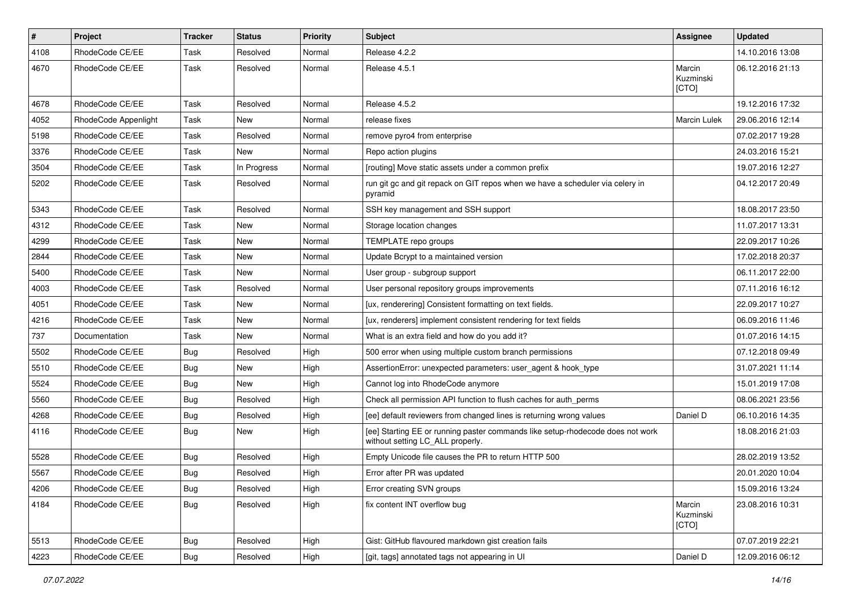| $\pmb{\#}$ | Project              | <b>Tracker</b> | <b>Status</b> | <b>Priority</b> | Subject                                                                                                            | <b>Assignee</b>              | <b>Updated</b>   |
|------------|----------------------|----------------|---------------|-----------------|--------------------------------------------------------------------------------------------------------------------|------------------------------|------------------|
| 4108       | RhodeCode CE/EE      | Task           | Resolved      | Normal          | Release 4.2.2                                                                                                      |                              | 14.10.2016 13:08 |
| 4670       | RhodeCode CE/EE      | Task           | Resolved      | Normal          | Release 4.5.1                                                                                                      | Marcin<br>Kuzminski<br>[CTO] | 06.12.2016 21:13 |
| 4678       | RhodeCode CE/EE      | Task           | Resolved      | Normal          | Release 4.5.2                                                                                                      |                              | 19.12.2016 17:32 |
| 4052       | RhodeCode Appenlight | Task           | New           | Normal          | release fixes                                                                                                      | <b>Marcin Lulek</b>          | 29.06.2016 12:14 |
| 5198       | RhodeCode CE/EE      | Task           | Resolved      | Normal          | remove pyro4 from enterprise                                                                                       |                              | 07.02.2017 19:28 |
| 3376       | RhodeCode CE/EE      | Task           | <b>New</b>    | Normal          | Repo action plugins                                                                                                |                              | 24.03.2016 15:21 |
| 3504       | RhodeCode CE/EE      | Task           | In Progress   | Normal          | [routing] Move static assets under a common prefix                                                                 |                              | 19.07.2016 12:27 |
| 5202       | RhodeCode CE/EE      | Task           | Resolved      | Normal          | run git gc and git repack on GIT repos when we have a scheduler via celery in<br>pyramid                           |                              | 04.12.2017 20:49 |
| 5343       | RhodeCode CE/EE      | Task           | Resolved      | Normal          | SSH key management and SSH support                                                                                 |                              | 18.08.2017 23:50 |
| 4312       | RhodeCode CE/EE      | Task           | <b>New</b>    | Normal          | Storage location changes                                                                                           |                              | 11.07.2017 13:31 |
| 4299       | RhodeCode CE/EE      | Task           | <b>New</b>    | Normal          | TEMPLATE repo groups                                                                                               |                              | 22.09.2017 10:26 |
| 2844       | RhodeCode CE/EE      | Task           | <b>New</b>    | Normal          | Update Bcrypt to a maintained version                                                                              |                              | 17.02.2018 20:37 |
| 5400       | RhodeCode CE/EE      | Task           | <b>New</b>    | Normal          | User group - subgroup support                                                                                      |                              | 06.11.2017 22:00 |
| 4003       | RhodeCode CE/EE      | Task           | Resolved      | Normal          | User personal repository groups improvements                                                                       |                              | 07.11.2016 16:12 |
| 4051       | RhodeCode CE/EE      | Task           | <b>New</b>    | Normal          | [ux, renderering] Consistent formatting on text fields.                                                            |                              | 22.09.2017 10:27 |
| 4216       | RhodeCode CE/EE      | Task           | <b>New</b>    | Normal          | [ux, renderers] implement consistent rendering for text fields                                                     |                              | 06.09.2016 11:46 |
| 737        | Documentation        | Task           | <b>New</b>    | Normal          | What is an extra field and how do you add it?                                                                      |                              | 01.07.2016 14:15 |
| 5502       | RhodeCode CE/EE      | Bug            | Resolved      | High            | 500 error when using multiple custom branch permissions                                                            |                              | 07.12.2018 09:49 |
| 5510       | RhodeCode CE/EE      | Bug            | New           | High            | AssertionError: unexpected parameters: user_agent & hook_type                                                      |                              | 31.07.2021 11:14 |
| 5524       | RhodeCode CE/EE      | <b>Bug</b>     | <b>New</b>    | High            | Cannot log into RhodeCode anymore                                                                                  |                              | 15.01.2019 17:08 |
| 5560       | RhodeCode CE/EE      | Bug            | Resolved      | High            | Check all permission API function to flush caches for auth_perms                                                   |                              | 08.06.2021 23:56 |
| 4268       | RhodeCode CE/EE      | Bug            | Resolved      | High            | [ee] default reviewers from changed lines is returning wrong values                                                | Daniel D                     | 06.10.2016 14:35 |
| 4116       | RhodeCode CE/EE      | Bug            | New           | High            | [ee] Starting EE or running paster commands like setup-rhodecode does not work<br>without setting LC_ALL properly. |                              | 18.08.2016 21:03 |
| 5528       | RhodeCode CE/EE      | Bug            | Resolved      | High            | Empty Unicode file causes the PR to return HTTP 500                                                                |                              | 28.02.2019 13:52 |
| 5567       | RhodeCode CE/EE      | Bug            | Resolved      | High            | Error after PR was updated                                                                                         |                              | 20.01.2020 10:04 |
| 4206       | RhodeCode CE/EE      | <b>Bug</b>     | Resolved      | High            | Error creating SVN groups                                                                                          |                              | 15.09.2016 13:24 |
| 4184       | RhodeCode CE/EE      | <b>Bug</b>     | Resolved      | High            | fix content INT overflow bug                                                                                       | Marcin<br>Kuzminski<br>[CTO] | 23.08.2016 10:31 |
| 5513       | RhodeCode CE/EE      | Bug            | Resolved      | High            | Gist: GitHub flavoured markdown gist creation fails                                                                |                              | 07.07.2019 22:21 |
| 4223       | RhodeCode CE/EE      | Bug            | Resolved      | High            | [git, tags] annotated tags not appearing in UI                                                                     | Daniel D                     | 12.09.2016 06:12 |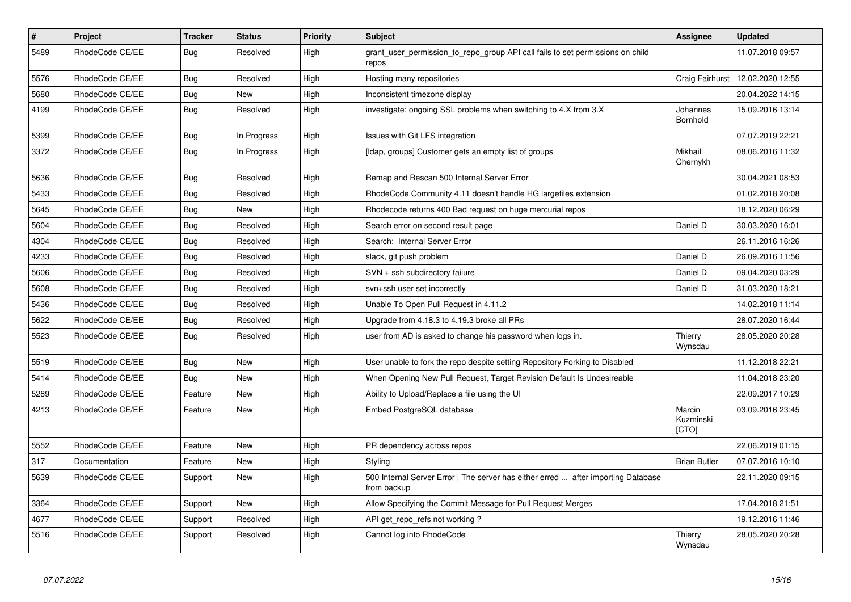| $\sharp$ | <b>Project</b>  | <b>Tracker</b> | <b>Status</b> | <b>Priority</b> | <b>Subject</b>                                                                                   | Assignee                     | <b>Updated</b>   |
|----------|-----------------|----------------|---------------|-----------------|--------------------------------------------------------------------------------------------------|------------------------------|------------------|
| 5489     | RhodeCode CE/EE | Bug            | Resolved      | High            | grant user permission to repo group API call fails to set permissions on child<br>repos          |                              | 11.07.2018 09:57 |
| 5576     | RhodeCode CE/EE | Bug            | Resolved      | High            | Hosting many repositories                                                                        | Craig Fairhurst              | 12.02.2020 12:55 |
| 5680     | RhodeCode CE/EE | Bug            | New           | High            | Inconsistent timezone display                                                                    |                              | 20.04.2022 14:15 |
| 4199     | RhodeCode CE/EE | Bug            | Resolved      | High            | investigate: ongoing SSL problems when switching to 4.X from 3.X                                 | Johannes<br>Bornhold         | 15.09.2016 13:14 |
| 5399     | RhodeCode CE/EE | Bug            | In Progress   | High            | Issues with Git LFS integration                                                                  |                              | 07.07.2019 22:21 |
| 3372     | RhodeCode CE/EE | Bug            | In Progress   | High            | [Idap, groups] Customer gets an empty list of groups                                             | Mikhail<br>Chernykh          | 08.06.2016 11:32 |
| 5636     | RhodeCode CE/EE | Bug            | Resolved      | High            | Remap and Rescan 500 Internal Server Error                                                       |                              | 30.04.2021 08:53 |
| 5433     | RhodeCode CE/EE | Bug            | Resolved      | High            | RhodeCode Community 4.11 doesn't handle HG largefiles extension                                  |                              | 01.02.2018 20:08 |
| 5645     | RhodeCode CE/EE | Bug            | <b>New</b>    | High            | Rhodecode returns 400 Bad request on huge mercurial repos                                        |                              | 18.12.2020 06:29 |
| 5604     | RhodeCode CE/EE | Bug            | Resolved      | High            | Search error on second result page                                                               | Daniel D                     | 30.03.2020 16:01 |
| 4304     | RhodeCode CE/EE | <b>Bug</b>     | Resolved      | High            | Search: Internal Server Error                                                                    |                              | 26.11.2016 16:26 |
| 4233     | RhodeCode CE/EE | <b>Bug</b>     | Resolved      | High            | slack, git push problem                                                                          | Daniel D                     | 26.09.2016 11:56 |
| 5606     | RhodeCode CE/EE | Bug            | Resolved      | High            | SVN + ssh subdirectory failure                                                                   | Daniel D                     | 09.04.2020 03:29 |
| 5608     | RhodeCode CE/EE | Bug            | Resolved      | High            | svn+ssh user set incorrectly                                                                     | Daniel D                     | 31.03.2020 18:21 |
| 5436     | RhodeCode CE/EE | Bug            | Resolved      | High            | Unable To Open Pull Request in 4.11.2                                                            |                              | 14.02.2018 11:14 |
| 5622     | RhodeCode CE/EE | <b>Bug</b>     | Resolved      | High            | Upgrade from 4.18.3 to 4.19.3 broke all PRs                                                      |                              | 28.07.2020 16:44 |
| 5523     | RhodeCode CE/EE | <b>Bug</b>     | Resolved      | High            | user from AD is asked to change his password when logs in.                                       | Thierry<br>Wynsdau           | 28.05.2020 20:28 |
| 5519     | RhodeCode CE/EE | Bug            | <b>New</b>    | High            | User unable to fork the repo despite setting Repository Forking to Disabled                      |                              | 11.12.2018 22:21 |
| 5414     | RhodeCode CE/EE | <b>Bug</b>     | <b>New</b>    | High            | When Opening New Pull Request, Target Revision Default Is Undesireable                           |                              | 11.04.2018 23:20 |
| 5289     | RhodeCode CE/EE | Feature        | New           | High            | Ability to Upload/Replace a file using the UI                                                    |                              | 22.09.2017 10:29 |
| 4213     | RhodeCode CE/EE | Feature        | <b>New</b>    | High            | Embed PostgreSQL database                                                                        | Marcin<br>Kuzminski<br>[CTO] | 03.09.2016 23:45 |
| 5552     | RhodeCode CE/EE | Feature        | <b>New</b>    | High            | PR dependency across repos                                                                       |                              | 22.06.2019 01:15 |
| 317      | Documentation   | Feature        | <b>New</b>    | High            | Styling                                                                                          | <b>Brian Butler</b>          | 07.07.2016 10:10 |
| 5639     | RhodeCode CE/EE | Support        | <b>New</b>    | High            | 500 Internal Server Error   The server has either erred  after importing Database<br>from backup |                              | 22.11.2020 09:15 |
| 3364     | RhodeCode CE/EE | Support        | <b>New</b>    | High            | Allow Specifying the Commit Message for Pull Request Merges                                      |                              | 17.04.2018 21:51 |
| 4677     | RhodeCode CE/EE | Support        | Resolved      | High            | API get repo refs not working?                                                                   |                              | 19.12.2016 11:46 |
| 5516     | RhodeCode CE/EE | Support        | Resolved      | High            | Cannot log into RhodeCode                                                                        | Thierry<br>Wynsdau           | 28.05.2020 20:28 |